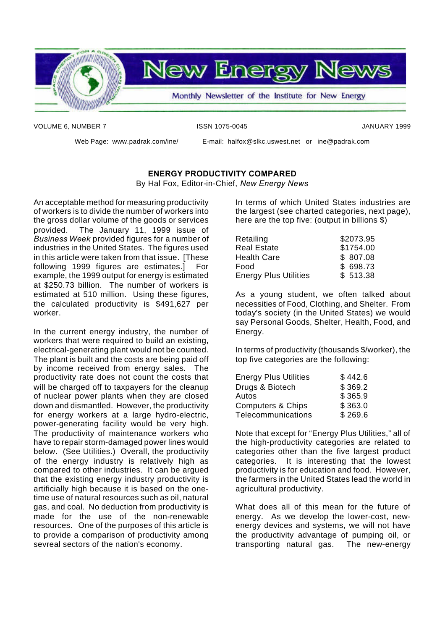

VOLUME 6, NUMBER 7 ISSN 1075-0045 JANUARY 1999

Web Page: www.padrak.com/ine/ E-mail: halfox@slkc.uswest.net or ine@padrak.com

# **ENERGY PRODUCTIVITY COMPARED**

By Hal Fox, Editor-in-Chief, *New Energy News*

An acceptable method for measuring productivity of workers is to divide the number of workers into the gross dollar volume of the goods or services provided. The January 11, 1999 issue of *Business Week* provided figures for a number of industries in the United States. The figures used in this article were taken from that issue. [These following 1999 figures are estimates.] For example, the 1999 output for energy is estimated at \$250.73 billion. The number of workers is estimated at 510 million. Using these figures, the calculated productivity is \$491,627 per worker.

In the current energy industry, the number of workers that were required to build an existing, electrical-generating plant would not be counted. The plant is built and the costs are being paid off by income received from energy sales. The productivity rate does not count the costs that will be charged off to taxpayers for the cleanup of nuclear power plants when they are closed down and dismantled. However, the productivity for energy workers at a large hydro-electric, power-generating facility would be very high. The productivity of maintenance workers who have to repair storm-damaged power lines would below. (See Utilities.) Overall, the productivity of the energy industry is relatively high as compared to other industries. It can be argued that the existing energy industry productivity is artificially high because it is based on the onetime use of natural resources such as oil, natural gas, and coal. No deduction from productivity is made for the use of the non-renewable resources. One of the purposes of this article is to provide a comparison of productivity among sevreal sectors of the nation's economy.

In terms of which United States industries are the largest (see charted categories, next page), here are the top five: (output in billions \$)

| Retailing                    | \$2073.95 |
|------------------------------|-----------|
| <b>Real Estate</b>           | \$1754.00 |
| <b>Health Care</b>           | \$807.08  |
| Food                         | \$698.73  |
| <b>Energy Plus Utilities</b> | \$513.38  |

As a young student, we often talked about necessities of Food, Clothing, and Shelter. From today's society (in the United States) we would say Personal Goods, Shelter, Health, Food, and Energy.

In terms of productivity (thousands \$/worker), the top five categories are the following:

| <b>Energy Plus Utilities</b> | \$442.6 |
|------------------------------|---------|
| Drugs & Biotech              | \$369.2 |
| Autos                        | \$365.9 |
| <b>Computers &amp; Chips</b> | \$363.0 |
| <b>Telecommunications</b>    | \$269.6 |

Note that except for "Energy Plus Utilities," all of the high-productivity categories are related to categories other than the five largest product categories. It is interesting that the lowest productivity is for education and food. However, the farmers in the United States lead the world in agricultural productivity.

What does all of this mean for the future of energy. As we develop the lower-cost, newenergy devices and systems, we will not have the productivity advantage of pumping oil, or transporting natural gas. The new-energy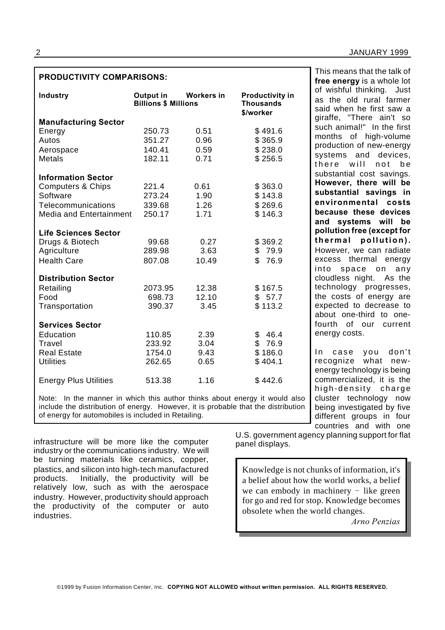# **PRODUCTIVITY COMPARISONS:**

| <b>Industry</b>                | Output in<br><b>Billions \$ Millions</b> | <b>Workers in</b> | <b>Productivity in</b><br><b>Thousands</b><br>\$/worker |
|--------------------------------|------------------------------------------|-------------------|---------------------------------------------------------|
| <b>Manufacturing Sector</b>    |                                          |                   |                                                         |
| Energy                         | 250.73                                   | 0.51              | \$491.6                                                 |
| Autos                          | 351.27                                   | 0.96              | \$365.9                                                 |
| Aerospace                      | 140.41                                   | 0.59              | \$238.0                                                 |
| Metals                         | 182.11                                   | 0.71              | \$256.5                                                 |
| <b>Information Sector</b>      |                                          |                   |                                                         |
| <b>Computers &amp; Chips</b>   | 221.4                                    | 0.61              | \$363.0                                                 |
| Software                       | 273.24                                   | 1.90              | \$143.8                                                 |
| Telecommunications             | 339.68                                   | 1.26              | \$269.6                                                 |
| <b>Media and Entertainment</b> | 250.17                                   | 1.71              | \$146.3                                                 |
| <b>Life Sciences Sector</b>    |                                          |                   |                                                         |
| Drugs & Biotech                | 99.68                                    | 0.27              | \$369.2                                                 |
| Agriculture                    | 289.98                                   | 3.63              | \$79.9                                                  |
| <b>Health Care</b>             | 807.08                                   | 10.49             | \$<br>76.9                                              |
| <b>Distribution Sector</b>     |                                          |                   |                                                         |
| Retailing                      | 2073.95                                  | 12.38             | \$167.5                                                 |
| Food                           | 698.73                                   | 12.10             | \$57.7                                                  |
| Transportation                 | 390.37                                   | 3.45              | \$113.2                                                 |
| <b>Services Sector</b>         |                                          |                   |                                                         |
| Education                      | 110.85                                   | 2.39              | \$<br>46.4                                              |
| Travel                         | 233.92                                   | 3.04              | \$<br>76.9                                              |
| <b>Real Estate</b>             | 1754.0                                   | 9.43              | \$186.0                                                 |
| <b>Utilities</b>               | 262.65                                   | 0.65              | \$404.1                                                 |
| <b>Energy Plus Utilities</b>   | 513.38                                   | 1.16              | \$442.6                                                 |

Note: In the manner in which this author thinks about energy it would also include the distribution of energy. However, it is probable that the distribution of energy for automobiles is included in Retailing.

infrastructure will be more like the computer industry or the communications industry. We will be turning materials like ceramics, copper, plastics, and silicon into high-tech manufactured products. Initially, the productivity will be relatively low, such as with the aerospace industry. However, productivity should approach the productivity of the computer or auto industries.

This means that the talk of **free energy** is a whole lot of wishful thinking. Just as the old rural farmer said when he first saw a giraffe, "There ain't so such animal!" In the first months of high-volume production of new-energy systems and devices, there will not be substantial cost savings. **However, there will be substantial savings in environmental costs because these devices and systems will be pollution free (except for** thermal pollution). However, we can radiate excess thermal energy into space on any cloudless night. As the technology progresses, the costs of energy are expected to decrease to about one-third to onefourth of our current energy costs.

In case you don't recognize what newenergy technology is being commercialized, it is the high-density charge cluster technology now being investigated by five different groups in four countries and with one

U.S. government agency planning support for flat panel displays.

Knowledge is not chunks of information, it's a belief about how the world works, a belief we can embody in machinery  $-$  like green for go and red for stop. Knowledge becomes obsolete when the world changes.

*Arno Penzias*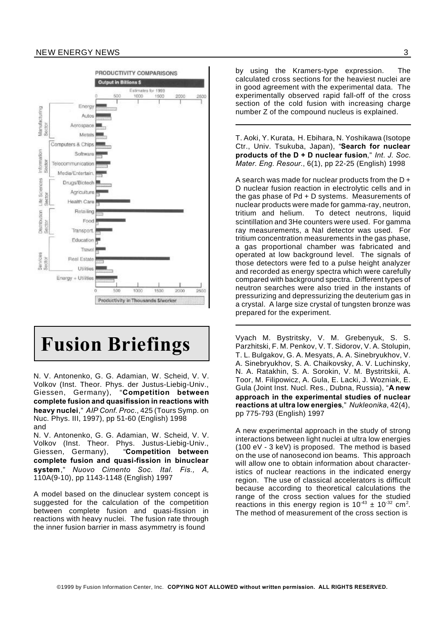#### NEW ENERGY NEWS 3



# **Fusion Briefings**

N. V. Antonenko, G. G. Adamian, W. Scheid, V. V. Volkov (Inst. Theor. Phys. der Justus-Liebig-Univ., Giessen, Germany), "**Competition between complete fusion and quasifission in reactions with heavy nuclei**," *AIP Conf. Proc*., 425 (Tours Symp. on Nuc. Phys. III, 1997), pp 51-60 (English) 1998 and

N. V. Antonenko, G. G. Adamian, W. Scheid, V. V. Volkov (Inst. Theor. Phys. Justus-Liebig-Univ., Giessen, Germany), "**Competition between complete fusion and quasi-fission in binuclear system**," *Nuovo Cimento Soc. Ital. Fis., A,* 110A(9-10), pp 1143-1148 (English) 1997

A model based on the dinuclear system concept is suggested for the calculation of the competition between complete fusion and quasi-fission in reactions with heavy nuclei. The fusion rate through the inner fusion barrier in mass asymmetry is found

by using the Kramers-type expression. The calculated cross sections for the heaviest nuclei are in good agreement with the experimental data. The experimentally observed rapid fall-off of the cross section of the cold fusion with increasing charge number Z of the compound nucleus is explained.

T. Aoki, Y. Kurata, H. Ebihara, N. Yoshikawa (Isotope Ctr., Univ. Tsukuba, Japan), "**Search for nuclear products of the D + D nuclear fusion**," *Int. J. Soc. Mater. Eng. Resour*., 6(1), pp 22-25 (English) 1998

A search was made for nuclear products from the D + D nuclear fusion reaction in electrolytic cells and in the gas phase of Pd + D systems. Measurements of nuclear products were made for gamma-ray, neutron, tritium and helium. To detect neutrons, liquid scintillation and 3He counters were used. For gamma ray measurements, a NaI detector was used. For tritium concentration measurements in the gas phase, a gas proportional chamber was fabricated and operated at low background level. The signals of those detectors were fed to a pulse height analyzer and recorded as energy spectra which were carefully compared with background spectra. Different types of neutron searches were also tried in the instants of pressurizing and depressurizing the deuterium gas in a crystal. A large size crystal of tungsten bronze was prepared for the experiment.

Vyach M. Bystritsky, V. M. Grebenyuk, S. S. Parzhitski, F. M. Penkov, V. T. Sidorov, V. A. Stolupin, T. L. Bulgakov, G. A. Mesyats, A. A. Sinebryukhov, V. A. Sinebryukhov, S. A. Chaikovsky, A. V. Luchinsky, N. A. Ratakhin, S. A. Sorokin, V. M. Bystritskii, A. Toor, M. Filipowicz, A. Gula, E. Lacki, J. Wozniak, E. Gula (Joint Inst. Nucl. Res., Dubna, Russia), "**A new approach in the experimental studies of nuclear reactions at ultra low energies**," *Nukleonika*, 42(4), pp 775-793 (English) 1997

A new experimental approach in the study of strong interactions between light nuclei at ultra low energies (100 eV - 3 keV) is proposed. The method is based on the use of nanosecond ion beams. This approach will allow one to obtain information about characteristics of nuclear reactions in the indicated energy region. The use of classical accelerators is difficult because according to theoretical calculations the range of the cross section values for the studied reactions in this energy region is  $10^{-43} \pm 10^{-32}$  cm<sup>2</sup>. The method of measurement of the cross section is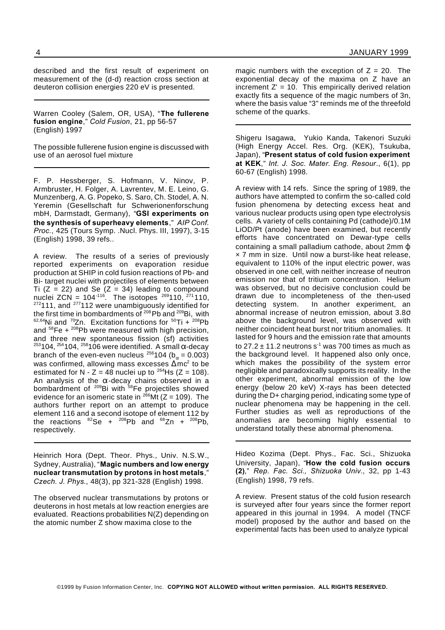described and the first result of experiment on measurement of the (d-d) reaction cross section at deuteron collision energies 220 eV is presented.

Warren Cooley (Salem, OR, USA), "**The fullerene fusion engine**," *Cold Fusion*, 21, pp 56-57 (English) 1997

The possible fullerene fusion engine is discussed with use of an aerosol fuel mixture

F. P. Hessberger, S. Hofmann, V. Ninov, P. Armbruster, H. Folger, A. Lavrentev, M. E. Leino, G. Munzenberg, A. G. Popeko, S. Saro, Ch. Stodel, A. N. Yeremin (Gesellschaft fur Schwerionenforschung mbH, Darmstadt, Germany), "**GSI experiments on the synthesis of superheavy elements**," *AIP Conf. Proc.*, 425 (Tours Symp. .Nucl. Phys. III, 1997), 3-15 (English) 1998, 39 refs..

A review. The results of a series of previously reported experiments on evaporation residue production at SHIP in cold fusion reactions of Pb- and Bi- target nuclei with projectiles of elements between Ti  $(Z = 22)$  and Se  $(Z = 34)$  leading to compound nuclei ZCN =  $104^{-116}$ . The isotopes  $^{269}110$ ,  $^{271}110$ ,  $272111$ , and  $277112$  were unambiguously identified for the first time in bombardments of <sup>208</sup>Pb and <sup>209</sup>Bi, with  $62,64$ Ni and  $70Zn$ . Excitation functions for  $50Ti + 208Pb$ and  ${}^{58}Fe + {}^{208}Pb$  were measured with high precision, and three new spontaneous fission (sf) activities  $253104$ ,  $254104$ ,  $258106$  were identified. A small  $\alpha$ -decay branch of the even-even nucleus <sup>256</sup>104 ( $b_{\alpha}$  = 0.003) was confirmed, allowing mass excesses  $\Delta$ m $c^2$  to be estimated for  $N - Z = 48$  nuclei up to <sup>264</sup>Hs (Z = 108). An analysis of the  $\alpha$ -decay chains observed in a bombardment of <sup>209</sup>Bi with <sup>58</sup>Fe projectiles showed evidence for an isomeric state in  $^{266}$ Mt (Z = 109). The authors further report on an attempt to produce element 116 and a second isotope of element 112 by the reactions  ${}^{82}Se + {}^{208}Pb$  and  ${}^{68}Zn + {}^{208}Pb$ , respectively.

Heinrich Hora (Dept. Theor. Phys., Univ. N.S.W., Sydney, Australia), "**Magic numbers and low energy nuclear transmutation by protons in host metals**," *Czech. J. Phys.*, 48(3), pp 321-328 (English) 1998.

The observed nuclear transmutations by protons or deuterons in host metals at low reaction energies are evaluated. Reactions probabilities N(Z) depending on the atomic number Z show maxima close to the

magic numbers with the exception of  $Z = 20$ . The exponential decay of the maxima on Z have an increment  $Z' = 10$ . This empirically derived relation exactly fits a sequence of the magic numbers of 3n, where the basis value "3" reminds me of the threefold scheme of the quarks.

Shigeru Isagawa, Yukio Kanda, Takenori Suzuki (High Energy Accel. Res. Org. (KEK), Tsukuba, Japan), "**Present status of cold fusion experiment at KEK**," *Int. J. Soc. Mater. Eng. Resour*., 6(1), pp 60-67 (English) 1998.

A review with 14 refs. Since the spring of 1989, the authors have attempted to confirm the so-called cold fusion phenomena by detecting excess heat and various nuclear products using open type electrolysis cells. A variety of cells containing Pd (cathode)/0.1M LiOD/Pt (anode) have been examined, but recently efforts have concentrated on Dewar-type cells containing a small palladium cathode, about 2mm × 7 mm in size. Until now a burst-like heat release, equivalent to 110% of the input electric power, was observed in one cell, with neither increase of neutron emission nor that of tritium concentration. Helium was observed, but no decisive conclusion could be drawn due to incompleteness of the then-used detecting system. In another experiment, an abnormal increase of neutron emission, about 3.8 above the background level, was observed with neither coincident heat burst nor tritium anomalies. It lasted for 9 hours and the emission rate that amounts to 27.2  $\pm$  11.2 neutrons s $^{\text{-}1}$  was 700 times as much as the background level. It happened also only once, which makes the possibility of the system error negligible and paradoxically supports its reality. In the other experiment, abnormal emission of the low energy (below 20 keV) X-rays has been detected during the D+ charging period, indicating some type of nuclear phenomena may be happening in the cell. Further studies as well as reproductions of the anomalies are becoming highly essential to understand totally these abnormal phenomena.

Hideo Kozima (Dept. Phys., Fac. Sci., Shizuoka University, Japan), "**How the cold fusion occurs (2)**," *Rep. Fac. Sci., Shizuoka Univ.*, 32, pp 1-43 (English) 1998, 79 refs.

A review. Present status of the cold fusion research is surveyed after four years since the former report appeared in this journal in 1994. A model (TNCF model) proposed by the author and based on the experimental facts has been used to analyze typical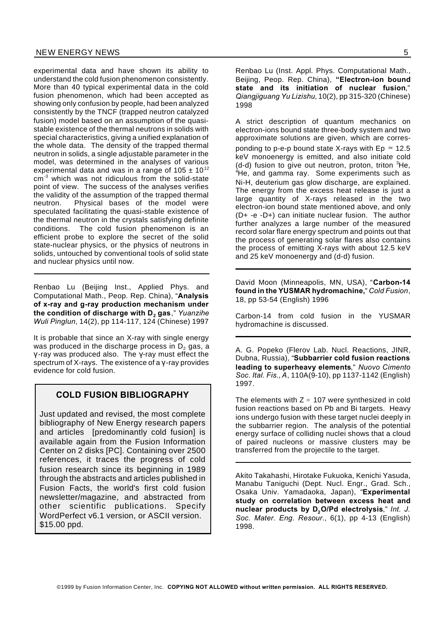experimental data and have shown its ability to understand the cold fusion phenomenon consistently. More than 40 typical experimental data in the cold fusion phenomenon, which had been accepted as showing only confusion by people, had been analyzed consistently by the TNCF (trapped neutron catalyzed fusion) model based on an assumption of the quasistable existence of the thermal neutrons in solids with special characteristics, giving a unified explanation of the whole data. The density of the trapped thermal neutron in solids, a single adjustable parameter in the model, was determined in the analyses of various experimental data and was in a range of  $105 \pm 10^{12}$ cm-3 which was not ridiculous from the solid-state point of view. The success of the analyses verifies the validity of the assumption of the trapped thermal neutron. Physical bases of the model were speculated facilitating the quasi-stable existence of the thermal neutron in the crystals satisfying definite conditions. The cold fusion phenomenon is an efficient probe to explore the secret of the solid state-nuclear physics, or the physics of neutrons in solids, untouched by conventional tools of solid state and nuclear physics until now.

Renbao Lu (Beijing Inst., Applied Phys. and Computational Math., Peop. Rep. China), "**Analysis of x-ray and g-ray production mechanism under the condition of discharge with D<sup>2</sup> gas**," *Yuanzihe Wuli Pinglun*, 14(2), pp 114-117, 124 (Chinese) 1997

It is probable that since an X-ray with single energy was produced in the discharge process in  $D<sub>2</sub>$  gas, a  $y$ -ray was produced also. The  $y$ -ray must effect the spectrum of X-rays. The existence of a  $\gamma$ -ray provides evidence for cold fusion.

# **COLD FUSION BIBLIOGRAPHY**

Just updated and revised, the most complete bibliography of New Energy research papers and articles [predominantly cold fusion] is available again from the Fusion Information Center on 2 disks [PC]. Containing over 2500 references, it traces the progress of cold fusion research since its beginning in 1989 through the abstracts and articles published in Fusion Facts, the world's first cold fusion newsletter/magazine, and abstracted from other scientific publications. Specify WordPerfect v6.1 version, or ASCII version. \$15.00 ppd.

Renbao Lu (Inst. Appl. Phys. Computational Math., Beijing, Peop. Rep. China), **"Electron-ion bound state and its initiation of nuclear fusion**," *Qiangjiguang Yu Lizishu*, 10(2), pp 315-320 (Chinese) 1998

A strict description of quantum mechanics on electron-ions bound state three-body system and two approximate solutions are given, which are corresponding to p-e-p bound state X-rays with  $Ep \approx 12.5$ keV monoenergy is emitted, and also initiate cold (d-d) fusion to give out neutron, proton, triton  ${}^{3}$ He, <sup>4</sup>He, and gamma ray. Some experiments such as Ni-H, deuterium gas glow discharge, are explained. The energy from the excess heat release is just a large quantity of X-rays released in the two electron-ion bound state mentioned above, and only (D+ -e -D+) can initiate nuclear fusion. The author further analyzes a large number of the measured record solar flare energy spectrum and points out that the process of generating solar flares also contains the process of emitting X-rays with about 12.5 keV and 25 keV monoenergy and (d-d) fusion.

David Moon (Minneapolis, MN, USA), "**Carbon-14 found in the YUSMAR hydromachine,**" *Cold Fusion*, 18, pp 53-54 (English) 1996

Carbon-14 from cold fusion in the YUSMAR hydromachine is discussed.

A. G. Popeko (Flerov Lab. Nucl. Reactions, JINR, Dubna, Russia), "**Subbarrier cold fusion reactions leading to superheavy elements**," *Nuovo Cimento Soc. Ital. Fis.,A*, 110A(9-10), pp 1137-1142 (English) 1997.

The elements with  $Z \approx 107$  were synthesized in cold fusion reactions based on Pb and Bi targets. Heavy ions undergo fusion with these target nuclei deeply in the subbarrier region. The analysis of the potential energy surface of colliding nuclei shows that a cloud of paired nucleons or massive clusters may be transferred from the projectile to the target.

Akito Takahashi, Hirotake Fukuoka, Kenichi Yasuda, Manabu Taniguchi (Dept. Nucl. Engr., Grad. Sch., Osaka Univ. Yamadaoka, Japan), "**Experimental study on correlation between excess heat and nuclear products by D2O/Pd electrolysis**," *Int. J. Soc. Mater. Eng. Resour*., 6(1), pp 4-13 (English) 1998.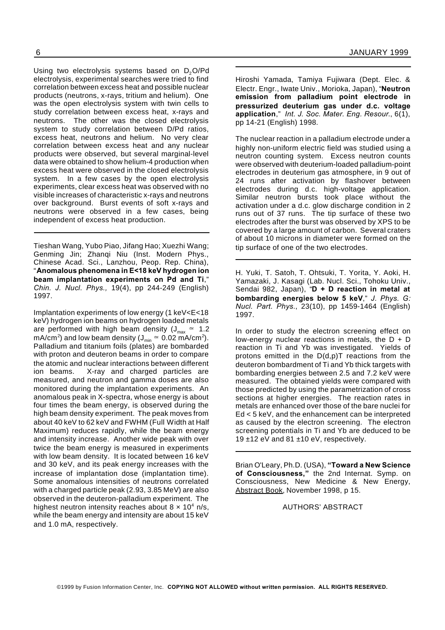Using two electrolysis systems based on  $D_2O/Pd$ electrolysis, experimental searches were tried to find correlation between excess heat and possible nuclear products (neutrons, x-rays, tritium and helium). One was the open electrolysis system with twin cells to study correlation between excess heat, x-rays and neutrons. The other was the closed electrolysis system to study correlation between D/Pd ratios, excess heat, neutrons and helium. No very clear correlation between excess heat and any nuclear products were observed, but several marginal-level data were obtained to show helium-4 production when excess heat were observed in the closed electrolysis system. In a few cases by the open electrolysis experiments, clear excess heat was observed with no visible increases of characteristic x-rays and neutrons over background. Burst events of soft x-rays and neutrons were observed in a few cases, being independent of excess heat production.

Tieshan Wang, Yubo Piao, Jifang Hao; Xuezhi Wang; Genming Jin: Zhangi Niu (Inst. Modern Phys., Chinese Acad. Sci., Lanzhou, Peop. Rep. China), "**Anomalous phenomena in E<18 keV hydrogen ion beam implantation experiments on Pd and Ti**," *Chin. J. Nucl. Phys.,* 19(4), pp 244-249 (English) 1997.

Implantation experiments of low energy (1 keV<E<18 keV) hydrogen ion beams on hydrogen loaded metals are performed with high beam density ( $J_{max} \approx 1.2$ mA/cm<sup>2</sup>) and low beam density (J<sub>min</sub>  $\approx 0.02$  mA/cm<sup>2</sup>). Palladium and titanium foils (plates) are bombarded with proton and deuteron beams in order to compare the atomic and nuclear interactions between different ion beams. X-ray and charged particles are measured, and neutron and gamma doses are also monitored during the implantation experiments. An anomalous peak in X-spectra, whose energy is about four times the beam energy, is observed during the high beam density experiment. The peak moves from about 40 keV to 62 keV and FWHM (Full Width at Half Maximum) reduces rapidly, while the beam energy and intensity increase. Another wide peak with over twice the beam energy is measured in experiments with low beam density. It is located between 16 keV and 30 keV, and its peak energy increases with the increase of implantation dose (implantation time). Some anomalous intensities of neutrons correlated with a charged particle peak (2.93, 3.85 MeV) are also observed in the deuteron-palladium experiment. The highest neutron intensity reaches about  $8 \times 10^4$  n/s, while the beam energy and intensity are about 15 keV and 1.0 mA, respectively.

Hiroshi Yamada, Tamiya Fujiwara (Dept. Elec. & Electr. Engr., Iwate Univ., Morioka, Japan), "**Neutron emission from palladium point electrode in pressurized deuterium gas under d.c. voltage application**," *Int. J. Soc. Mater. Eng. Resour*., 6(1), pp 14-21 (English) 1998.

The nuclear reaction in a palladium electrode under a highly non-uniform electric field was studied using a neutron counting system. Excess neutron counts were observed with deuterium-loaded palladium-point electrodes in deuterium gas atmosphere, in 9 out of 24 runs after activation by flashover between electrodes during d.c. high-voltage application. Similar neutron bursts took place without the activation under a d.c. glow discharge condition in 2 runs out of 37 runs. The tip surface of these two electrodes after the burst was observed by XPS to be covered by a large amount of carbon. Several craters of about 10 microns in diameter were formed on the tip surface of one of the two electrodes.

H. Yuki, T. Satoh, T. Ohtsuki, T. Yorita, Y. Aoki, H. Yamazaki, J. Kasagi (Lab. Nucl. Sci., Tohoku Univ., Sendai 982, Japan), "**D + D reaction in metal at bombarding energies below 5 keV**," *J. Phys. G: Nucl. Part. Phys.*, 23(10), pp 1459-1464 (English) 1997.

In order to study the electron screening effect on low-energy nuclear reactions in metals, the  $D + D$ reaction in Ti and Yb was investigated. Yields of protons emitted in the D(d,p)T reactions from the deuteron bombardment of Ti and Yb thick targets with bombarding energies between 2.5 and 7.2 keV were measured. The obtained yields were compared with those predicted by using the parametrization of cross sections at higher energies. The reaction rates in metals are enhanced over those of the bare nuclei for Ed < 5 keV, and the enhancement can be interpreted as caused by the electron screening. The electron screening potentials in Ti and Yb are deduced to be 19  $\pm$ 12 eV and 81  $\pm$ 10 eV, respectively.

Brian O'Leary, Ph.D. (USA), **"Toward a New Science of Consciousness,"** the 2nd Internat. Symp. on Consciousness, New Medicine & New Energy, Abstract Book, November 1998, p 15.

### AUTHORS' ABSTRACT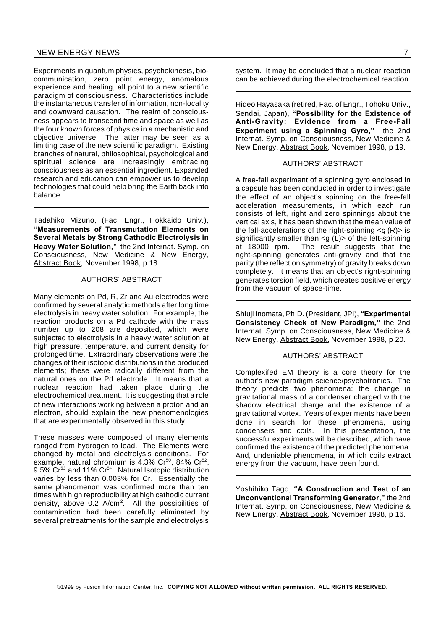Experiments in quantum physics, psychokinesis, biocommunication, zero point energy, anomalous experience and healing, all point to a new scientific paradigm of consciousness. Characteristics include the instantaneous transfer of information, non-locality and downward causation. The realm of consciousness appears to transcend time and space as well as the four known forces of physics in a mechanistic and objective universe. The latter may be seen as a limiting case of the new scientific paradigm. Existing branches of natural, philosophical, psychological and spiritual science are increasingly embracing consciousness as an essential ingredient. Expanded research and education can empower us to develop technologies that could help bring the Earth back into balance.

Tadahiko Mizuno, (Fac. Engr., Hokkaido Univ.), **"Measurements of Transmutation Elements on Several Metals by Strong Cathodic Electrolysis in Heavy Water Solution,**" the 2nd Internat. Symp. on Consciousness, New Medicine & New Energy, Abstract Book, November 1998, p 18.

### AUTHORS' ABSTRACT

Many elements on Pd, R, Zr and Au electrodes were confirmed by several analytic methods after long time electrolysis in heavy water solution. For example, the reaction products on a Pd cathode with the mass number up to 208 are deposited, which were subjected to electrolysis in a heavy water solution at high pressure, temperature, and current density for prolonged time. Extraordinary observations were the changes of their isotopic distributions in the produced elements; these were radically different from the natural ones on the Pd electrode. It means that a nuclear reaction had taken place during the electrochemical treatment. It is suggesting that a role of new interactions working between a proton and an electron, should explain the new phenomenologies that are experimentally observed in this study.

These masses were composed of many elements ranged from hydrogen to lead. The Elements were changed by metal and electrolysis conditions. For example, natural chromium is 4.3%  $Cr^{50}$ , 84%  $Cr^{52}$ , 9.5% Cr<sup>53</sup> and 11% Cr<sup>54</sup>. Natural Isotopic distribution varies by less than 0.003% for Cr. Essentially the same phenomenon was confirmed more than ten times with high reproducibility at high cathodic current density, above 0.2 A/cm<sup>2</sup> . All the possibilities of contamination had been carefully eliminated by several pretreatments for the sample and electrolysis

system. It may be concluded that a nuclear reaction can be achieved during the electrochemical reaction.

Hideo Hayasaka (retired, Fac. of Engr., Tohoku Univ., Sendai, Japan), **"Possibility for the Existence of Anti-Gravity: Evidence from a Free-Fall Experiment using a Spinning Gyro,"** the 2nd Internat. Symp. on Consciousness, New Medicine & New Energy, Abstract Book, November 1998, p 19.

#### AUTHORS' ABSTRACT

A free-fall experiment of a spinning gyro enclosed in a capsule has been conducted in order to investigate the effect of an object's spinning on the free-fall acceleration measurements, in which each run consists of left, right and zero spinnings about the vertical axis, it has been shown that the mean value of the fall-accelerations of the right-spinning <*g* (R)> is significantly smaller than  $\leq g(L)$  of the left-spinning at 18000 rpm. The result suggests that the right-spinning generates anti-gravity and that the parity (the reflection symmetry) of gravity breaks down completely. It means that an object's right-spinning generates torsion field, which creates positive energy from the vacuum of space-time.

Shiuji Inomata, Ph.D. (President, JPI), **"Experimental Consistency Check of New Paradigm,"** the 2nd Internat. Symp. on Consciousness, New Medicine & New Energy, Abstract Book, November 1998, p 20.

# AUTHORS' ABSTRACT

Complexifed EM theory is a core theory for the author's new paradigm science/psychotronics. The theory predicts two phenomena: the change in gravitational mass of a condenser charged with the shadow electrical charge and the existence of a gravitational vortex. Years of experiments have been done in search for these phenomena, using condensers and coils. In this presentation, the successful experiments will be described, which have confirmed the existence of the predicted phenomena. And, undeniable phenomena, in which coils extract energy from the vacuum, have been found.

Yoshihiko Tago, **"A Construction and Test of an Unconventional Transforming Generator,"** the 2nd Internat. Symp. on Consciousness, New Medicine & New Energy, Abstract Book, November 1998, p 16.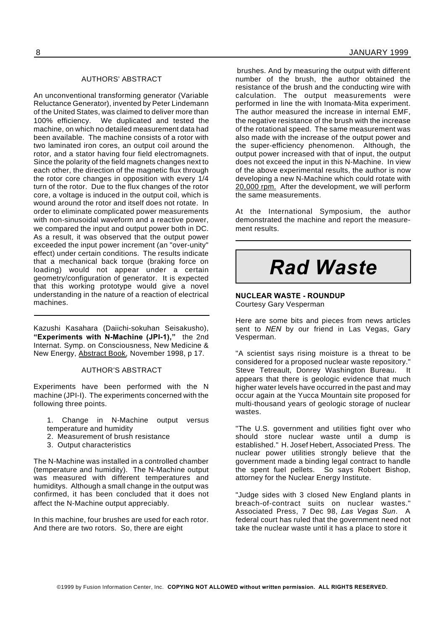#### AUTHORS' ABSTRACT

An unconventional transforming generator (Variable Reluctance Generator), invented by Peter Lindemann of the United States, was claimed to deliver more than 100% efficiency. We duplicated and tested the machine, on which no detailed measurement data had been available. The machine consists of a rotor with two laminated iron cores, an output coil around the rotor, and a stator having four field electromagnets. Since the polarity of the field magnets changes next to each other, the direction of the magnetic flux through the rotor core changes in opposition with every 1/4 turn of the rotor. Due to the flux changes of the rotor core, a voltage is induced in the output coil, which is wound around the rotor and itself does not rotate. In order to eliminate complicated power measurements with non-sinusoidal waveform and a reactive power, we compared the input and output power both in DC. As a result, it was observed that the output power exceeded the input power increment (an "over-unity" effect) under certain conditions. The results indicate that a mechanical back torque (braking force on loading) would not appear under a certain geometry/configuration of generator. It is expected that this working prototype would give a novel understanding in the nature of a reaction of electrical machines.

Kazushi Kasahara (Daiichi-sokuhan Seisakusho), **"Experiments with N-Machine (JPI-1),"** the 2nd Internat. Symp. on Consciousness, New Medicine & New Energy, Abstract Book, November 1998, p 17.

#### AUTHOR'S ABSTRACT

Experiments have been performed with the N machine (JPI-I). The experiments concerned with the following three points.

- 1. Change in N-Machine output versus temperature and humidity
- 2. Measurement of brush resistance
- 3. Output characteristics

The N-Machine was installed in a controlled chamber (temperature and humidity). The N-Machine output was measured with different temperatures and humiditys. Although a small change in the output was confirmed, it has been concluded that it does not affect the N-Machine output appreciably.

In this machine, four brushes are used for each rotor. And there are two rotors. So, there are eight

brushes. And by measuring the output with different number of the brush, the author obtained the resistance of the brush and the conducting wire with calculation. The output measurements were performed in line the with Inomata-Mita experiment. The author measured the increase in internal EMF, the negative resistance of the brush with the increase of the rotational speed. The same measurement was also made with the increase of the output power and the super-efficiency phenomenon. Although, the output power increased with that of input, the output does not exceed the input in this N-Machine. In view of the above experimental results, the author is now developing a new N-Machine which could rotate with 20,000 rpm. After the development, we will perform the same measurements.

At the International Symposium, the author demonstrated the machine and report the measurement results.

# *Rad Waste*

#### **NUCLEAR WASTE - ROUNDUP** Courtesy Gary Vesperman

Here are some bits and pieces from news articles sent to *NEN* by our friend in Las Vegas, Gary Vesperman.

"A scientist says rising moisture is a threat to be considered for a proposed nuclear waste repository." Steve Tetreault, Donrey Washington Bureau. It appears that there is geologic evidence that much higher water levels have occurred in the past and may occur again at the Yucca Mountain site proposed for multi-thousand years of geologic storage of nuclear wastes.

"The U.S. government and utilities fight over who should store nuclear waste until a dump is established." H. Josef Hebert, Associated Press. The nuclear power utilities strongly believe that the government made a binding legal contract to handle the spent fuel pellets. So says Robert Bishop, attorney for the Nuclear Energy Institute.

"Judge sides with 3 closed New England plants in breach-of-contract suits on nuclear wastes." Associated Press, 7 Dec 98, *Las Vegas Sun*. A federal court has ruled that the government need not take the nuclear waste until it has a place to store it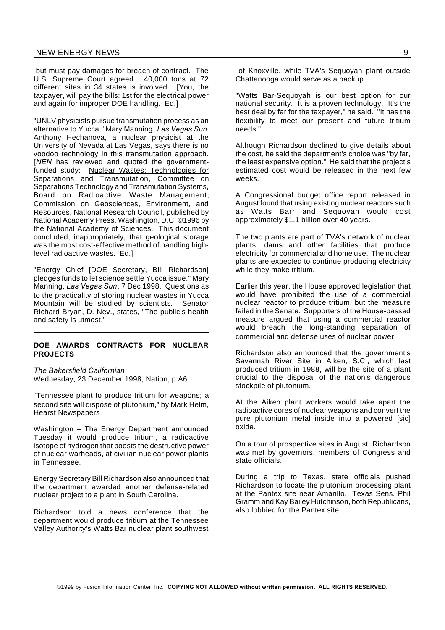but must pay damages for breach of contract. The U.S. Supreme Court agreed. 40,000 tons at 72 different sites in 34 states is involved. [You, the taxpayer, will pay the bills: 1st for the electrical power and again for improper DOE handling. Ed.]

"UNLV physicists pursue transmutation process as an alternative to Yucca." Mary Manning, *Las Vegas Sun*. Anthony Hechanova, a nuclear physicist at the University of Nevada at Las Vegas, says there is no voodoo technology in this transmutation approach. [*NEN* has reviewed and quoted the governmentfunded study: Nuclear Wastes: Technologies for Separations and Transmutation, Committee on Separations Technology and Transmutation Systems, Board on Radioactive Waste Management, Commission on Geosciences, Environment, and Resources, National Research Council, published by National Academy Press, Washington, D.C. ©1996 by the National Academy of Sciences. This document concluded, inappropriately, that geological storage was the most cost-effective method of handling highlevel radioactive wastes. Ed.]

"Energy Chief [DOE Secretary, Bill Richardson] pledges funds to let science settle Yucca issue." Mary Manning, *Las Vegas Sun*, 7 Dec 1998. Questions as to the practicality of storing nuclear wastes in Yucca<br>Mountain will be studied by scientists. Senator Mountain will be studied by scientists. Richard Bryan, D. Nev., states, "The public's health and safety is utmost."

# **DOE AWARDS CONTRACTS FOR NUCLEAR PROJECTS**

*The Bakersfield Californian* Wednesday, 23 December 1998, Nation, p A6

"Tennessee plant to produce tritium for weapons; a second site will dispose of plutonium," by Mark Helm, Hearst Newspapers

Washington – The Energy Department announced Tuesday it would produce tritium, a radioactive isotope of hydrogen that boosts the destructive power of nuclear warheads, at civilian nuclear power plants in Tennessee.

Energy Secretary Bill Richardson also announced that the department awarded another defense-related nuclear project to a plant in South Carolina.

Richardson told a news conference that the department would produce tritium at the Tennessee Valley Authority's Watts Bar nuclear plant southwest

of Knoxville, while TVA's Sequoyah plant outside Chattanooga would serve as a backup.

"Watts Bar-Sequoyah is our best option for our national security. It is a proven technology. It's the best deal by far for the taxpayer," he said. "It has the flexibility to meet our present and future tritium needs."

Although Richardson declined to give details about the cost, he said the department's choice was "by far, the least expensive option." He said that the project's estimated cost would be released in the next few weeks.

A Congressional budget office report released in August found that using existing nuclear reactors such as Watts Barr and Sequoyah would cost approximately \$1.1 billion over 40 years.

The two plants are part of TVA's network of nuclear plants, dams and other facilities that produce electricity for commercial and home use. The nuclear plants are expected to continue producing electricity while they make tritium.

Earlier this year, the House approved legislation that would have prohibited the use of a commercial nuclear reactor to produce tritium, but the measure failed in the Senate. Supporters of the House-passed measure argued that using a commercial reactor would breach the long-standing separation of commercial and defense uses of nuclear power.

Richardson also announced that the government's Savannah River Site in Aiken, S.C., which last produced tritium in 1988, will be the site of a plant crucial to the disposal of the nation's dangerous stockpile of plutonium.

At the Aiken plant workers would take apart the radioactive cores of nuclear weapons and convert the pure plutonium metal inside into a powered [sic] oxide.

On a tour of prospective sites in August, Richardson was met by governors, members of Congress and state officials.

During a trip to Texas, state officials pushed Richardson to locate the plutonium processing plant at the Pantex site near Amarillo. Texas Sens. Phil Gramm and Kay Bailey Hutchinson, both Republicans, also lobbied for the Pantex site.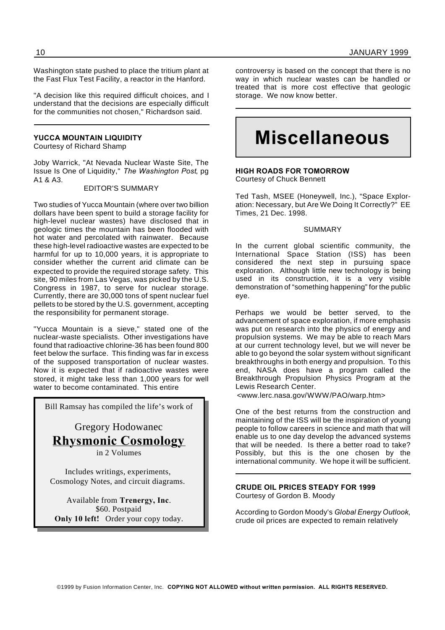Washington state pushed to place the tritium plant at the Fast Flux Test Facility, a reactor in the Hanford.

"A decision like this required difficult choices, and I understand that the decisions are especially difficult for the communities not chosen," Richardson said.

# **YUCCA MOUNTAIN LIQUIDITY**

Courtesy of Richard Shamp

Joby Warrick, "At Nevada Nuclear Waste Site, The Issue Is One of Liquidity," *The Washington Post*, pg A1 & A3.

### EDITOR'S SUMMARY

Two studies of Yucca Mountain (where over two billion dollars have been spent to build a storage facility for high-level nuclear wastes) have disclosed that in geologic times the mountain has been flooded with hot water and percolated with rainwater. Because these high-level radioactive wastes are expected to be harmful for up to 10,000 years, it is appropriate to consider whether the current arid climate can be expected to provide the required storage safety. This site, 90 miles from Las Vegas, was picked by the U.S. Congress in 1987, to serve for nuclear storage. Currently, there are 30,000 tons of spent nuclear fuel pellets to be stored by the U.S. government, accepting the responsibility for permanent storage.

"Yucca Mountain is a sieve," stated one of the nuclear-waste specialists. Other investigations have found that radioactive chlorine-36 has been found 800 feet below the surface. This finding was far in excess of the supposed transportation of nuclear wastes. Now it is expected that if radioactive wastes were stored, it might take less than 1,000 years for well water to become contaminated. This entire

Bill Ramsay has compiled the life's work of

Gregory Hodowanec **Rhysmonic Cosmology**

in 2 Volumes

Includes writings, experiments, Cosmology Notes, and circuit diagrams.

Available from **Trenergy, Inc**. \$60. Postpaid **Only 10 left!** Order your copy today.

controversy is based on the concept that there is no way in which nuclear wastes can be handled or treated that is more cost effective that geologic storage. We now know better.

# **Miscellaneous**

#### **HIGH ROADS FOR TOMORROW** Courtesy of Chuck Bennett

Ted Tash, MSEE (Honeywell, Inc.), "Space Exploration: Necessary, but Are We Doing It Correctly?" EE Times, 21 Dec. 1998.

#### SUMMARY

In the current global scientific community, the International Space Station (ISS) has been considered the next step in pursuing space exploration. Although little new technology is being used in its construction, it is a very visible demonstration of "something happening" for the public eye.

Perhaps we would be better served, to the advancement of space exploration, if more emphasis was put on research into the physics of energy and propulsion systems. We may be able to reach Mars at our current technology level, but we will never be able to go beyond the solar system without significant breakthroughs in both energy and propulsion. To this end, NASA does have a program called the Breakthrough Propulsion Physics Program at the Lewis Research Center.

<www.lerc.nasa.gov/WWW/PAO/warp.htm>

One of the best returns from the construction and maintaining of the ISS will be the inspiration of young people to follow careers in science and math that will enable us to one day develop the advanced systems that will be needed. Is there a better road to take? Possibly, but this is the one chosen by the international community. We hope it will be sufficient.

**CRUDE OIL PRICES STEADY FOR 1999** Courtesy of Gordon B. Moody

According to Gordon Moody's *Global Energy Outlook*, crude oil prices are expected to remain relatively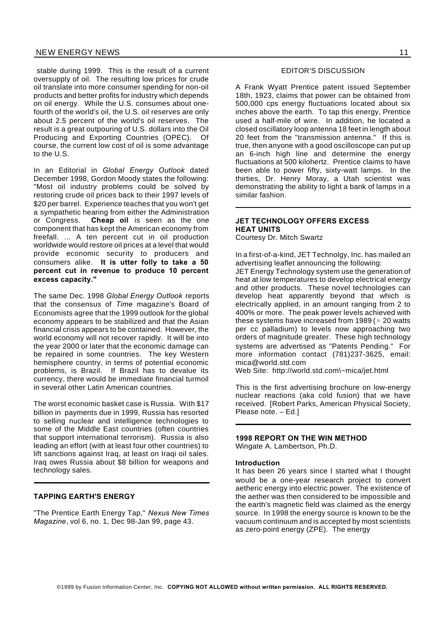stable during 1999. This is the result of a current oversupply of oil. The resulting low prices for crude oil translate into more consumer spending for non-oil products and better profits for industry which depends on oil energy. While the U.S. consumes about onefourth of the world's oil, the U.S. oil reserves are only about 2.5 percent of the world's oil reserves. The result is a great outpouring of U.S. dollars into the Oil Producing and Exporting Countries (OPEC). Of course, the current low cost of oil is some advantage to the U.S.

In an Editorial in *Global Energy Outlook* dated December 1998, Gordon Moody states the following: "Most oil industry problems could be solved by restoring crude oil prices back to their 1997 levels of \$20 per barrel. Experience teaches that you won't get a sympathetic hearing from either the Administration or Congress. **Cheap oil** is seen as the one component that has kept the American economy from freefall. ... A ten percent cut in oil production worldwide would restore oil prices at a level that would provide economic security to producers and consumers alike. **It is utter folly to take a 50 percent cut in revenue to produce 10 percent excess capacity."**

The same Dec. 1998 *Global Energy Outlook* reports that the consensus of *Time* magazine's Board of Economists agree that the 1999 outlook for the global economy appears to be stabilized and that the Asian financial crisis appears to be contained. However, the world economy will not recover rapidly. It will be into the year 2000 or later that the economic damage can be repaired in some countries. The key Western hemisphere country, in terms of potential economic problems, is Brazil. If Brazil has to devalue its currency, there would be immediate financial turmoil in several other Latin American countries.

The worst economic basket case is Russia. With \$17 billion in payments due in 1999, Russia has resorted to selling nuclear and intelligence technologies to some of the Middle East countries (often countries that support international terrorism). Russia is also leading an effort (with at least four other countries) to lift sanctions against Iraq, at least on Iraqi oil sales. Iraq owes Russia about \$8 billion for weapons and technology sales.

# **TAPPING EARTH'S ENERGY**

"The Prentice Earth Energy Tap," *Nexus New Times Magazine*, vol 6, no. 1, Dec 98-Jan 99, page 43.

#### EDITOR'S DISCUSSION

A Frank Wyatt Prentice patent issued September 18th, 1923, claims that power can be obtained from 500,000 cps energy fluctuations located about six inches above the earth. To tap this energy, Prentice used a half-mile of wire. In addition, he located a closed oscillatory loop antenna 18 feet in length about 20 feet from the "transmission antenna." If this is true, then anyone with a good oscilloscope can put up an 6-inch high line and determine the energy fluctuations at 500 kilohertz. Prentice claims to have been able to power fifty, sixty-watt lamps. In the thirties, Dr. Henry Moray, a Utah scientist was demonstrating the ability to light a bank of lamps in a similar fashion.

# **JET TECHNOLOGY OFFERS EXCESS HEAT UNITS**

Courtesy Dr. Mitch Swartz

In a first-of-a-kind, JET Technolgy, Inc. has mailed an advertising leaflet announcing the following: JET Energy Technology system use the generation of heat at low temperatures to develop electrical energy and other products. These novel technologies can develop heat apparently beyond that which is electrically applied, in an amount ranging from 2 to 400% or more. The peak power levels achieved with these systems have increased from 1989 ( $\approx$  20 watts per cc palladium) to levels now approaching two orders of magnitude greater. These high technology systems are advertised as "Patents Pending." For more information contact (781)237-3625, email: mica@world.std.com

Web Site: http://world.std.com\~mica/jet.html

This is the first advertising brochure on low-energy nuclear reactions (aka cold fusion) that we have received. [Robert Parks, American Physical Society, Please note. – Ed.]

# **1998 REPORT ON THE WIN METHOD**

Wingate A. Lambertson, Ph.D.

#### **Introduction**

It has been 26 years since I started what I thought would be a one-year research project to convert aetheric energy into electric power. The existence of the aether was then considered to be impossible and the earth's magnetic field was claimed as the energy source. In 1998 the energy source is known to be the vacuum continuum and is accepted by most scientists as zero-point energy (ZPE). The energy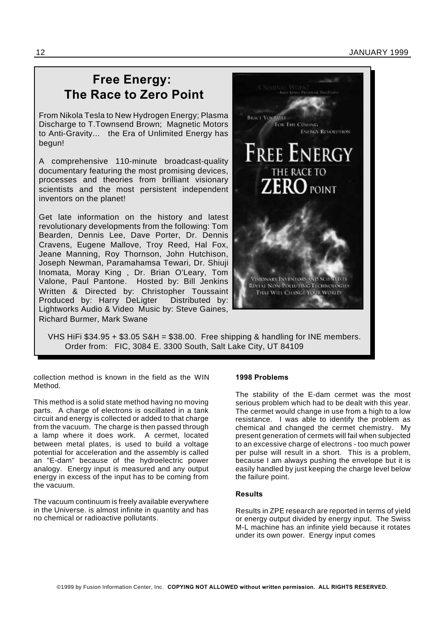# **Free Energy: The Race to Zero Point**

From Nikola Tesla to New Hydrogen Energy; Plasma Discharge to T.Townsend Brown; Magnetic Motors to Anti-Gravity... the Era of Unlimited Energy has begun!

A comprehensive 110-minute broadcast-quality documentary featuring the most promising devices, processes and theories from brilliant visionary scientists and the most persistent independent inventors on the planet!

Get late information on the history and latest revolutionary developments from the following: Tom Bearden, Dennis Lee, Dave Porter, Dr. Dennis Cravens, Eugene Mallove, Troy Reed, Hal Fox, Jeane Manning, Roy Thornson, John Hutchison, Joseph Newman, Paramahamsa Tewari, Dr. Shiuji Inomata, Moray King , Dr. Brian O'Leary, Tom Valone, Paul Pantone. Hosted by: Bill Jenkins Written & Directed by: Christopher Toussaint Produced by: Harry DeLigter Distributed by: Lightworks Audio & Video Music by: Steve Gaines, Richard Burmer, Mark Swane



collection method is known in the field as the WIN Method.

This method is a solid state method having no moving parts. A charge of electrons is oscillated in a tank circuit and energy is collected or added to that charge from the vacuum. The charge is then passed through a lamp where it does work. A cermet, located between metal plates, is used to build a voltage potential for acceleration and the assembly is called an "E-dam" because of the hydroelectric power analogy. Energy input is measured and any output energy in excess of the input has to be coming from the vacuum.

The vacuum continuum is freely available everywhere in the Universe. is almost infinite in quantity and has no chemical or radioactive pollutants.

### **1998 Problems**

**BEACE YOURSELL** 

FOR THE COMMU

**FREE ENERGY** 

THE RACE TO

VISIONARY INVENTORS AND SCIENTIST **RIVIAL NON-POLIUTING TECHNOLOGIES** THAI WILL CHANGE YOUR WORLD!

**ENFRON REVOLUTION** 

POINT

The stability of the E-dam cermet was the most serious problem which had to be dealt with this year. The cermet would change in use from a high to a low resistance. I was able to identify the problem as chemical and changed the cermet chemistry. My present generation of cermets will fail when subjected to an excessive charge of electrons - too much power per pulse will result in a short. This is a problem, because I am always pushing the envelope but it is easily handled by just keeping the charge level below the failure point.

## **Results**

Results in ZPE research are reported in terms of yield or energy output divided by energy input. The Swiss M-L machine has an infinite yield because it rotates under its own power. Energy input comes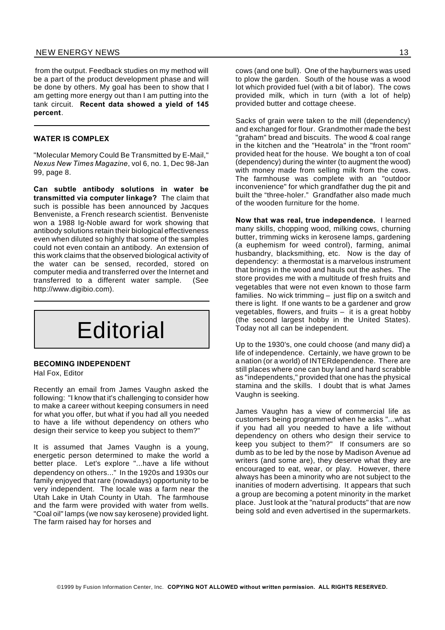# NEW ENERGY NEWS 13

from the output. Feedback studies on my method will be a part of the product development phase and will be done by others. My goal has been to show that I am getting more energy out than I am putting into the tank circuit. **Recent data showed a yield of 145 percent**.

#### **WATER IS COMPLEX**

"Molecular Memory Could Be Transmitted by E-Mail," *Nexus New Times Magazine*, vol 6, no. 1, Dec 98-Jan 99, page 8.

**Can subtle antibody solutions in water be transmitted via computer linkage?** The claim that such is possible has been announced by Jacques Benveniste, a French research scientist. Benveniste won a 1988 Ig-Noble award for work showing that antibody solutions retain their biological effectiveness even when diluted so highly that some of the samples could not even contain an antibody. An extension of this work claims that the observed biological activity of the water can be sensed, recorded, stored on computer media and transferred over the Internet and transferred to a different water sample. (See http://www.digibio.com).



# **BECOMING INDEPENDENT**

Hal Fox, Editor

Recently an email from James Vaughn asked the following: "I know that it's challenging to consider how to make a career without keeping consumers in need for what you offer, but what if you had all you needed to have a life without dependency on others who design their service to keep you subject to them?"

It is assumed that James Vaughn is a young, energetic person determined to make the world a better place. Let's explore "...have a life without dependency on others..." In the 1920s and 1930s our family enjoyed that rare (nowadays) opportunity to be very independent. The locale was a farm near the Utah Lake in Utah County in Utah. The farmhouse and the farm were provided with water from wells. "Coal oil" lamps (we now say kerosene) provided light. The farm raised hay for horses and

cows (and one bull). One of the hayburners was used to plow the garden. South of the house was a wood lot which provided fuel (with a bit of labor). The cows provided milk, which in turn (with a lot of help) provided butter and cottage cheese.

Sacks of grain were taken to the mill (dependency) and exchanged for flour. Grandmother made the best "graham" bread and biscuits. The wood & coal range in the kitchen and the "Heatrola" in the "front room" provided heat for the house. We bought a ton of coal (dependency) during the winter (to augment the wood) with money made from selling milk from the cows. The farmhouse was complete with an "outdoor inconvenience" for which grandfather dug the pit and built the "three-holer." Grandfather also made much of the wooden furniture for the home.

**Now that was real, true independence.** I learned many skills, chopping wood, milking cows, churning butter, trimming wicks in kerosene lamps, gardening (a euphemism for weed control), farming, animal husbandry, blacksmithing, etc. Now is the day of dependency: a thermostat is a marvelous instrument that brings in the wood and hauls out the ashes. The store provides me with a multitude of fresh fruits and vegetables that were not even known to those farm families. No wick trimming – just flip on a switch and there is light. If one wants to be a gardener and grow vegetables, flowers, and fruits – it is a great hobby (the second largest hobby in the United States). Today not all can be independent.

Up to the 1930's, one could choose (and many did) a life of independence. Certainly, we have grown to be a nation (or a world) of INTERdependence. There are still places where one can buy land and hard scrabble as "independents," provided that one has the physical stamina and the skills. I doubt that is what James Vaughn is seeking.

James Vaughn has a view of commercial life as customers being programmed when he asks "...what if you had all you needed to have a life without dependency on others who design their service to keep you subject to them?" If consumers are so dumb as to be led by the nose by Madison Avenue ad writers (and some are), they deserve what they are encouraged to eat, wear, or play. However, there always has been a minority who are not subject to the inanities of modern advertising. It appears that such a group are becoming a potent minority in the market place. Just look at the "natural products" that are now being sold and even advertised in the supermarkets.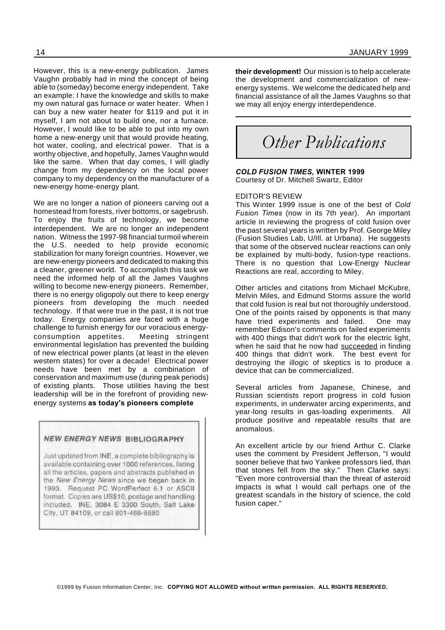However, this is a new-energy publication. James Vaughn probably had in mind the concept of being able to (someday) become energy independent. Take an example: I have the knowledge and skills to make my own natural gas furnace or water heater. When I can buy a new water heater for \$119 and put it in myself, I am not about to build one, nor a furnace. However, I would like to be able to put into my own home a new-energy unit that would provide heating, hot water, cooling, and electrical power. That is a worthy objective, and hopefully, James Vaughn would like the same. When that day comes, I will gladly change from my dependency on the local power company to my dependency on the manufacturer of a new-energy home-energy plant.

We are no longer a nation of pioneers carving out a homestead from forests, river bottoms, or sagebrush. To enjoy the fruits of technology, we become interdependent. We are no longer an independent nation. Witness the 1997-98 financial turmoil wherein the U.S. needed to help provide economic stabilization for many foreign countries. However, we are new-energy pioneers and dedicated to making this a cleaner, greener world. To accomplish this task we need the informed help of all the James Vaughns willing to become new-energy pioneers. Remember, there is no energy oligopoly out there to keep energy pioneers from developing the much needed technology. If that were true in the past, it is not true today. Energy companies are faced with a huge challenge to furnish energy for our voracious energyconsumption appetites. Meeting stringent environmental legislation has prevented the building of new electrical power plants (at least in the eleven western states) for over a decade! Electrical power needs have been met by a combination of conservation and maximum use (during peak periods) of existing plants. Those utilities having the best leadership will be in the forefront of providing newenergy systems **as today's pioneers complete**

#### **NEW ENERGY NEWS BIBLIOGRAPHY**

Just updated from INE, a complete bibliography is available containing over 1000 references, listing all the articles, papers and abstracts published in the New Energy News since we began back in 1993. Request PC WordPerfect 6.1 or ASCII format. Copies are US\$10, postage and handling included. INE, 3084 E 3300 South, Salt Lake City, UT 84109, or call 801-466-8680

**their development!** Our mission is to help accelerate the development and commercialization of newenergy systems. We welcome the dedicated help and financial assistance of all the James Vaughns so that we may all enjoy energy interdependence.

*Other Publications*

*COLD FUSION TIMES***, WINTER 1999** Courtesy of Dr. Mitchell Swartz, Editor

### EDITOR'S REVIEW

This Winter 1999 issue is one of the best of *Cold Fusion Times* (now in its 7th year). An important article in reviewing the progress of cold fusion over the past several years is written by Prof. George Miley (Fusion Studies Lab, U/Ill. at Urbana). He suggests that some of the observed nuclear reactions can only be explained by multi-body, fusion-type reactions. There is no question that Low-Energy Nuclear Reactions are real, according to Miley.

Other articles and citations from Michael McKubre, Melvin Miles, and Edmund Storms assure the world that cold fusion is real but not thoroughly understood. One of the points raised by opponents is that many have tried experiments and failed. One may remember Edison's comments on failed experiments with 400 things that didn't work for the electric light, when he said that he now had succeeded in finding 400 things that didn't work. The best event for destroying the illogic of skeptics is to produce a device that can be commercialized.

Several articles from Japanese, Chinese, and Russian scientists report progress in cold fusion experiments, in underwater arcing experiments, and year-long results in gas-loading experiments. All produce positive and repeatable results that are anomalous.

An excellent article by our friend Arthur C. Clarke uses the comment by President Jefferson, "I would sooner believe that two Yankee professors lied, than that stones fell from the sky." Then Clarke says: "Even more controversial than the threat of asteroid impacts is what I would call perhaps one of the greatest scandals in the history of science, the cold fusion caper."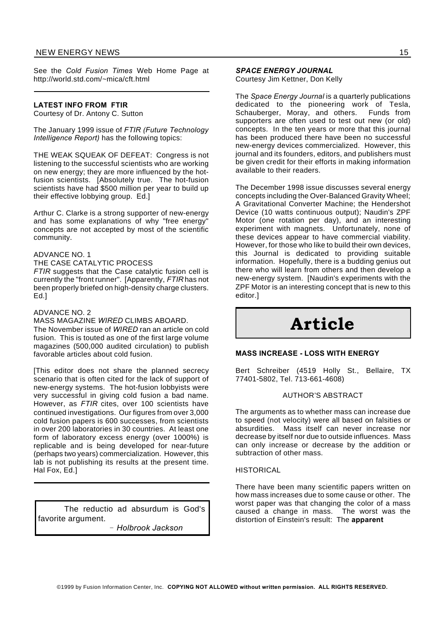# NEW ENERGY NEWS 15

See the *Cold Fusion Times* Web Home Page at http://world.std.com/~mica/cft.html

### **LATEST INFO FROM FTIR**

Courtesy of Dr. Antony C. Sutton

The January 1999 issue of *FTIR (Future Technology Intelligence Report)* has the following topics:

THE WEAK SQUEAK OF DEFEAT: Congress is not listening to the successful scientists who are working on new energy; they are more influenced by the hotfusion scientists. [Absolutely true. The hot-fusion scientists have had \$500 million per year to build up their effective lobbying group. Ed.]

Arthur C. Clarke is a strong supporter of new-energy and has some explanations of why "free energy" concepts are not accepted by most of the scientific community.

### ADVANCE NO. 1

THE CASE CATALYTIC PROCESS

*FTIR* suggests that the Case catalytic fusion cell is currently the "front runner". [Apparently, *FTIR* has not been properly briefed on high-density charge clusters. Ed.]

#### ADVANCE NO. 2

#### MASS MAGAZINE *WIRED* CLIMBS ABOARD.

The November issue of *WIRED* ran an article on cold fusion. This is touted as one of the first large volume magazines (500,000 audited circulation) to publish favorable articles about cold fusion.

[This editor does not share the planned secrecy scenario that is often cited for the lack of support of new-energy systems. The hot-fusion lobbyists were very successful in giving cold fusion a bad name. However, as *FTIR* cites, over 100 scientists have continued investigations. Our figures from over 3,000 cold fusion papers is 600 successes, from scientists in over 200 laboratories in 30 countries. At least one form of laboratory excess energy (over 1000%) is replicable and is being developed for near-future (perhaps two years) commercialization. However, this lab is not publishing its results at the present time. Hal Fox, Ed.]

The reductio ad absurdum is God's favorite argument. *Holbrook Jackson*

*SPACE ENERGY JOURNAL* Courtesy Jim Kettner, Don Kelly

The *Space Energy Journal* is a quarterly publications dedicated to the pioneering work of Tesla,<br>Schauberger, Morav, and others, Funds from Schauberger, Moray, and others. supporters are often used to test out new (or old) concepts. In the ten years or more that this journal has been produced there have been no successful new-energy devices commercialized. However, this journal and its founders, editors, and publishers must be given credit for their efforts in making information available to their readers.

The December 1998 issue discusses several energy concepts including the Over-Balanced Gravity Wheel; A Gravitational Converter Machine; the Hendershot Device (10 watts continuous output); Naudin's ZPF Motor (one rotation per day), and an interesting experiment with magnets. Unfortunately, none of these devices appear to have commercial viability. However, for those who like to build their own devices, this Journal is dedicated to providing suitable information. Hopefully, there is a budding genius out there who will learn from others and then develop a new-energy system. [Naudin's experiments with the ZPF Motor is an interesting concept that is new to this editor.]

# **Article**

#### **MASS INCREASE - LOSS WITH ENERGY**

Bert Schreiber (4519 Holly St., Bellaire, TX 77401-5802, Tel. 713-661-4608)

#### AUTHOR'S ABSTRACT

The arguments as to whether mass can increase due to speed (not velocity) were all based on falsities or absurdities. Mass itself can never increase nor decrease by itself nor due to outside influences. Mass can only increase or decrease by the addition or subtraction of other mass.

### **HISTORICAL**

There have been many scientific papers written on how mass increases due to some cause or other. The worst paper was that changing the color of a mass caused a change in mass. The worst was the distortion of Einstein's result: The **apparent**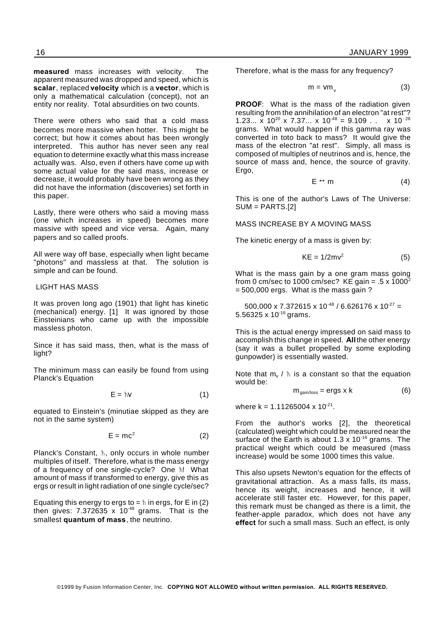**measured** mass increases with velocity. The apparent measured was dropped and speed, which is **scalar**, replaced **velocity** which is a **vector**, which is only a mathematical calculation (concept), not an entity nor reality. Total absurdities on two counts.

There were others who said that a cold mass becomes more massive when hotter. This might be correct; but how it comes about has been wrongly interpreted. This author has never seen any real equation to determine exactly what this mass increase actually was. Also, even if others have come up with some actual value for the said mass, increase or decrease, it would probably have been wrong as they did not have the information (discoveries) set forth in this paper.

Lastly, there were others who said a moving mass (one which increases in speed) becomes more massive with speed and vice versa. Again, many papers and so called proofs.

All were way off base, especially when light became "photons" and massless at that. The solution is simple and can be found.

#### LIGHT HAS MASS

It was proven long ago (1901) that light has kinetic (mechanical) energy. [1] It was ignored by those Einsteinians who came up with the impossible massless photon.

Since it has said mass, then, what is the mass of light?

The minimum mass can easily be found from using Planck's Equation

$$
E = \hbar V \tag{1}
$$

equated to Einstein's (minutiae skipped as they are not in the same system)

$$
E = mc^2 \tag{2}
$$

Planck's Constant,  $\hbar$ , only occurs in whole number multiples of itself. Therefore, what is the mass energy of a frequency of one single-cycle? One  $\hbar$ ! What amount of mass if transformed to energy, give this as ergs or result in light radiation of one single cycle/sec?

Equating this energy to ergs to =  $\hbar$  in ergs, for E in (2) then gives:  $7.372635 \times 10^{-48}$  grams. That is the smallest **quantum of mass**, the neutrino.

Therefore, what is the mass for any frequency?

$$
m = Vm_{v} \tag{3}
$$

**PROOF:** What is the mass of the radiation given resulting from the annihilation of an electron "at rest"? 1.23...  $\times$  10<sup>20</sup> x 7.37...  $\times$  10<sup>-48</sup> = 9.109 . .  $\times$  10<sup>-28</sup> grams. What would happen if this gamma ray was converted in toto back to mass? It would give the mass of the electron "at rest". Simply, all mass is composed of multiples of neutrinos and is, hence, the source of mass and, hence, the source of gravity. Ergo,

$$
E \leftrightarrow m \tag{4}
$$

This is one of the author's Laws of The Universe: SUM = PARTS.[2]

MASS INCREASE BY A MOVING MASS

The kinetic energy of a mass is given by:

$$
KE = 1/2mv^2 \tag{5}
$$

What is the mass gain by a one gram mass going from 0 cm/sec to 1000 cm/sec? KE gain =  $.5 \times 1000^2$  $= 500,000$  ergs. What is the mass gain ?

500,000 x 7.372615 x 10<sup>-48</sup> / 6.626176 x 10<sup>-27</sup> = 5.56325 x 10<sup>-16</sup> grams.

This is the actual energy impressed on said mass to accomplish this change in speed. **All** the other energy (say it was a bullet propelled by some exploding gunpowder) is essentially wasted.

Note that  $m_{v}$  /  $\hbar$  is a constant so that the equation would be:

$$
m_{\text{gain}/\text{loss}} = \text{ergs} \times k \tag{6}
$$

where  $k = 1.11265004 \times 10^{-21}$ .

From the author's works [2], the theoretical (calculated) weight which could be measured near the surface of the Earth is about 1.3  $\times$  10<sup>-16</sup> grams. The practical weight which could be measured (mass increase) would be some 1000 times this value.

This also upsets Newton's equation for the effects of gravitational attraction. As a mass falls, its mass, hence its weight, increases and hence, it will accelerate still faster etc. However, for this paper, this remark must be changed as there is a limit, the feather-apple paradox, which does not have any **effect** for such a small mass. Such an effect, is only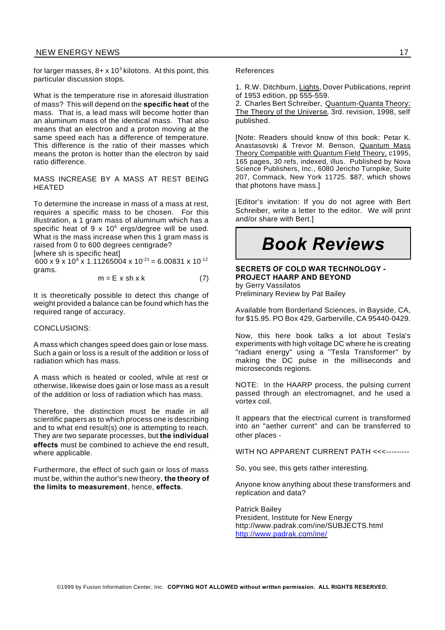### NEW ENERGY NEWS 17

for larger masses, 8+ x 10 $^5$  kilotons. At this point, this particular discussion stops.

What is the temperature rise in aforesaid illustration of mass? This will depend on the **specific heat** of the mass. That is, a lead mass will become hotter than an aluminum mass of the identical mass. That also means that an electron and a proton moving at the same speed each has a difference of temperature. This difference is the ratio of their masses which means the proton is hotter than the electron by said ratio difference.

MASS INCREASE BY A MASS AT REST BEING HEATED

To determine the increase in mass of a mass at rest, requires a specific mass to be chosen. For this illustration, a 1 gram mass of aluminum which has a specific heat of  $9 \times 10^6$  ergs/degree will be used. What is the mass increase when this 1 gram mass is raised from 0 to 600 degrees centigrade?

[where sh is specific heat]

600 x 9 x 10<sup>6</sup> x 1.11265004 x 10<sup>-21</sup> = 6.00831 x 10<sup>-12</sup> grams.

$$
m = E \times sh \times k \tag{7}
$$

It is theoretically possible to detect this change of weight provided a balance can be found which has the required range of accuracy.

#### CONCLUSIONS:

A mass which changes speed does gain or lose mass. Such a gain or loss is a result of the addition or loss of radiation which has mass.

A mass which is heated or cooled, while at rest or otherwise, likewise does gain or lose mass as a result of the addition or loss of radiation which has mass.

Therefore, the distinction must be made in all scientific papers as to which process one is describing and to what end result(s) one is attempting to reach. They are two separate processes, but **the individual effects** must be combined to achieve the end result, where applicable.

Furthermore, the effect of such gain or loss of mass must be, within the author's new theory, **the theory of the limits to measurement**, hence, **effects**.

#### References

1. R.W. Ditchburn, Lights, Dover Publications, reprint of 1953 edition, pp 555-559.

2. Charles Bert Schreiber, Quantum-Quanta Theory: The Theory of the Universe, 3rd. revision, 1998, self published.

[Note: Readers should know of this book: Petar K. Anastasovski & Trevor M. Benson, Quantum Mass Theory Compatible with Quantum Field Theory, c1995, 165 pages, 30 refs, indexed, illus. Published by Nova Science Publishers, Inc., 6080 Jericho Turnpike, Suite 207, Commack, New York 11725. \$87, which shows that photons have mass.]

[Editor's invitation: If you do not agree with Bert Schreiber, write a letter to the editor. We will print and/or share with Bert.]

# *Book Reviews*

#### **SECRETS OF COLD WAR TECHNOLOGY - PROJECT HAARP AND BEYOND** by Gerry Vassilatos

Preliminary Review by Pat Bailey

Available from Borderland Sciences, in Bayside, CA, for \$15.95. PO Box 429, Garberville, CA 95440-0429.

Now, this here book talks a lot about Tesla's experiments with high voltage DC where he is creating "radiant energy" using a "Tesla Transformer" by making the DC pulse in the milliseconds and microseconds regions.

NOTE: In the HAARP process, the pulsing current passed through an electromagnet, and he used a vortex coil.

It appears that the electrical current is transformed into an "aether current" and can be transferred to other places -

WITH NO APPARENT CURRENT PATH <<<---------

So, you see, this gets rather interesting.

Anyone know anything about these transformers and replication and data?

Patrick Bailey President, Institute for New Energy http://www.padrak.com/ine/SUBJECTS.html http://www.padrak.com/ine/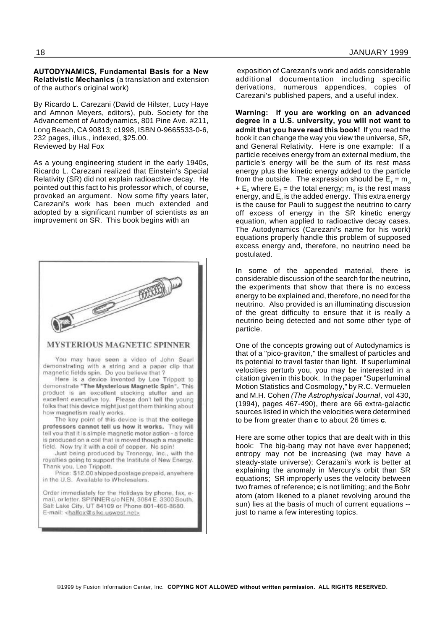#### **AUTODYNAMICS, Fundamental Basis for a New Relativistic Mechanics** (a translation and extension of the author's original work)

By Ricardo L. Carezani (David de Hilster, Lucy Haye and Amnon Meyers, editors), pub. Society for the Advancement of Autodynamics, 801 Pine Ave. #211, Long Beach, CA 90813; c1998, ISBN 0-9665533-0-6, 232 pages, illus., indexed, \$25.00. Reviewed by Hal Fox

As a young engineering student in the early 1940s, Ricardo L. Carezani realized that Einstein's Special Relativity (SR) did not explain radioactive decay. He pointed out this fact to his professor which, of course, provoked an argument. Now some fifty years later, Carezani's work has been much extended and adopted by a significant number of scientists as an improvement on SR. This book begins with an



exposition of Carezani's work and adds considerable additional documentation including specific derivations, numerous appendices, copies of Carezani's published papers, and a useful index.

**Warning: If you are working on an advanced degree in a U.S. university, you will not want to admit that you have read this book!** If you read the book it can change the way you view the universe, SR, and General Relativity. Here is one example: If a particle receives energy from an external medium, the particle's energy will be the sum of its rest mass energy plus the kinetic energy added to the particle from the outside. The expression should be  $\mathsf{E}_{\sf \!{\scriptscriptstyle{T}}} \! = \! \mathsf{m}_{_{\sf 0}}$ + E<sub>c</sub> where E<sub>T</sub> = the total energy; m<sub>o</sub> is the rest mass energy, and  $\mathsf{E}_{\mathrm{c}}$  is the added energy. This extra energy is the cause for Pauli to suggest the neutrino to carry off excess of energy in the SR kinetic energy equation, when applied to radioactive decay cases. The Autodynamics (Carezani's name for his work) equations properly handle this problem of supposed excess energy and, therefore, no neutrino need be postulated.

In some of the appended material, there is considerable discussion of the search for the neutrino, the experiments that show that there is no excess energy to be explained and, therefore, no need for the neutrino. Also provided is an illuminating discussion of the great difficulty to ensure that it is really a neutrino being detected and not some other type of particle.

One of the concepts growing out of Autodynamics is that of a "pico-graviton," the smallest of particles and its potential to travel faster than light. If superluminal velocities perturb you, you may be interested in a citation given in this book. In the paper "Superluminal Motion Statistics and Cosmology," by R.C. Vermuelen and M.H. Cohen *(The Astrophysical Journal*, vol 430, (1994), pages 467-490), there are 66 extra-galactic sources listed in which the velocities were determined to be from greater than **c** to about 26 times **c**.

Here are some other topics that are dealt with in this book: The big-bang may not have ever happened; entropy may not be increasing (we may have a steady-state universe); Cerazani's work is better at explaining the anomaly in Mercury's orbit than SR equations; SR improperly uses the velocity between two frames of reference; **c** is not limiting; and the Bohr atom (atom likened to a planet revolving around the sun) lies at the basis of much of current equations - just to name a few interesting topics.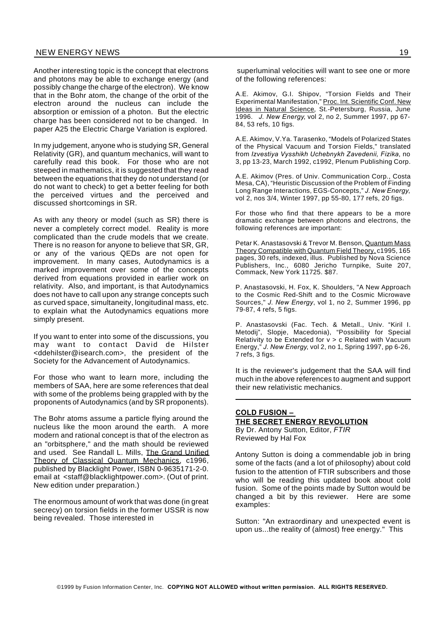# NEW ENERGY NEWS 19

Another interesting topic is the concept that electrons and photons may be able to exchange energy (and possibly change the charge of the electron). We know that in the Bohr atom, the change of the orbit of the electron around the nucleus can include the absorption or emission of a photon. But the electric charge has been considered not to be changed. In paper A25 the Electric Charge Variation is explored.

In my judgement, anyone who is studying SR, General Relativity (GR), and quantum mechanics, will want to carefully read this book. For those who are not steeped in mathematics, it is suggested that they read between the equations that they do not understand (or do not want to check) to get a better feeling for both the perceived virtues and the perceived and discussed shortcomings in SR.

As with any theory or model (such as SR) there is never a completely correct model. Reality is more complicated than the crude models that we create. There is no reason for anyone to believe that SR, GR, or any of the various QEDs are not open for improvement. In many cases, Autodynamics is a marked improvement over some of the concepts derived from equations provided in earlier work on relativity. Also, and important, is that Autodynamics does not have to call upon any strange concepts such as curved space, simultaneity, longitudinal mass, etc. to explain what the Autodynamics equations more simply present.

If you want to enter into some of the discussions, you may want to contact David de Hilster <ddehilster@isearch.com>, the president of the Society for the Advancement of Autodynamics.

For those who want to learn more, including the members of SAA, here are some references that deal with some of the problems being grappled with by the proponents of Autodynamics (and by SR proponents).

The Bohr atoms assume a particle flying around the nucleus like the moon around the earth. A more modern and rational concept is that of the electron as an "orbitsphere," and the math should be reviewed and used. See Randall L. Mills, The Grand Unified Theory of Classical Quantum Mechanics, c1996, published by Blacklight Power, ISBN 0-9635171-2-0. email at <staff@blacklightpower.com>. (Out of print. New edition under preparation.)

The enormous amount of work that was done (in great secrecy) on torsion fields in the former USSR is now being revealed. Those interested in

superluminal velocities will want to see one or more of the following references:

A.E. Akimov, G.I. Shipov, "Torsion Fields and Their Experimental Manifestation," Proc. Int. Scientific Conf. New Ideas in Natural Science, St.-Petersburg, Russia, June 1996. *J. New Energy*, vol 2, no 2, Summer 1997, pp 67- 84, 53 refs, 10 figs.

A.E. Akimov, V.Ya. Tarasenko, "Models of Polarized States of the Physical Vacuum and Torsion Fields," translated from *Izvestiya Vysshikh Uchebnykh Zavedenii, Fizika*, no 3, pp 13-23, March 1992, c1992, Plenum Publishing Corp.

A.E. Akimov (Pres. of Univ. Communication Corp., Costa Mesa, CA), "Heuristic Discussion of the Problem of Finding Long Range Interactions, EGS-Concepts," *J. New Energy*, vol 2, nos 3/4, Winter 1997, pp 55-80, 177 refs, 20 figs.

For those who find that there appears to be a more dramatic exchange between photons and electrons, the following references are important:

Petar K. Anastasovski & Trevor M. Benson, Quantum Mass Theory Compatible with Quantum Field Theory, c1995, 165 pages, 30 refs, indexed, illus. Published by Nova Science Publishers, Inc., 6080 Jericho Turnpike, Suite 207, Commack, New York 11725. \$87.

P. Anastasovski, H. Fox, K. Shoulders, "A New Approach to the Cosmic Red-Shift and to the Cosmic Microwave Sources," *J. New Energy*, vol 1, no 2, Summer 1996, pp 79-87, 4 refs, 5 figs.

P. Anastasovski (Fac. Tech. & Metall., Univ. "Kiril I. Metodij", Slopje, Macedonia), "Possibility for Special Relativity to be Extended for  $v > c$  Related with Vacuum Energy," *J. New Energy*, vol 2, no 1, Spring 1997, pp 6-26, 7 refs, 3 figs.

It is the reviewer's judgement that the SAA will find much in the above references to augment and support their new relativistic mechanics.

#### **COLD FUSION –**

**THE SECRET ENERGY REVOLUTION** By Dr. Antony Sutton, Editor, *FTIR* Reviewed by Hal Fox

Antony Sutton is doing a commendable job in bring some of the facts (and a lot of philosophy) about cold fusion to the attention of FTIR subscribers and those who will be reading this updated book about cold fusion. Some of the points made by Sutton would be changed a bit by this reviewer. Here are some examples:

Sutton: "An extraordinary and unexpected event is upon us...the reality of (almost) free energy." This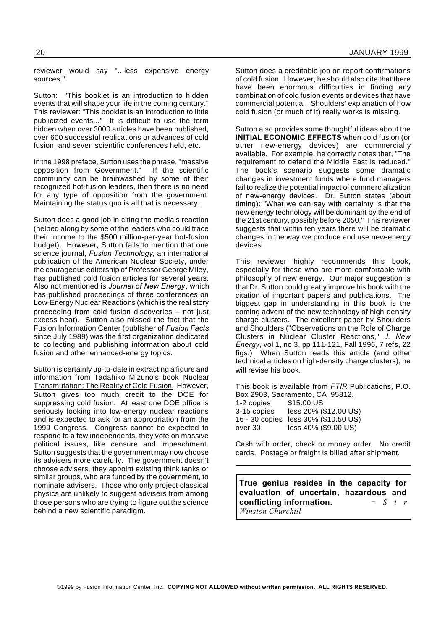reviewer would say "...less expensive energy sources."

Sutton: "This booklet is an introduction to hidden events that will shape your life in the coming century." This reviewer: "This booklet is an introduction to little publicized events..." It is difficult to use the term hidden when over 3000 articles have been published, over 600 successful replications or advances of cold fusion, and seven scientific conferences held, etc.

In the 1998 preface, Sutton uses the phrase, "massive opposition from Government." If the scientific community can be brainwashed by some of their recognized hot-fusion leaders, then there is no need for any type of opposition from the government. Maintaining the status quo is all that is necessary.

Sutton does a good job in citing the media's reaction (helped along by some of the leaders who could trace their income to the \$500 million-per-year hot-fusion budget). However, Sutton fails to mention that one science journal, *Fusion Technology*, an international publication of the American Nuclear Society, under the courageous editorship of Professor George Miley, has published cold fusion articles for several years. Also not mentioned is *Journal of New Energy*, which has published proceedings of three conferences on Low-Energy Nuclear Reactions (which is the real story proceeding from cold fusion discoveries – not just excess heat). Sutton also missed the fact that the Fusion Information Center (publisher of *Fusion Facts* since July 1989) was the first organization dedicated to collecting and publishing information about cold fusion and other enhanced-energy topics.

Sutton is certainly up-to-date in extracting a figure and information from Tadahiko Mizuno's book Nuclear Transmutation: The Reality of Cold Fusion. However, Sutton gives too much credit to the DOE for suppressing cold fusion. At least one DOE office is seriously looking into low-energy nuclear reactions and is expected to ask for an appropriation from the 1999 Congress. Congress cannot be expected to respond to a few independents, they vote on massive political issues, like censure and impeachment. Sutton suggests that the government may now choose its advisers more carefully. The government doesn't choose advisers, they appoint existing think tanks or similar groups, who are funded by the government, to nominate advisers. Those who only project classical physics are unlikely to suggest advisers from among those persons who are trying to figure out the science behind a new scientific paradigm.

Sutton does a creditable job on report confirmations of cold fusion. However, he should also cite that there have been enormous difficulties in finding any combination of cold fusion events or devices that have commercial potential. Shoulders' explanation of how cold fusion (or much of it) really works is missing.

Sutton also provides some thoughtful ideas about the **INITIAL ECONOMIC EFFECTS** when cold fusion (or other new-energy devices) are commercially available. For example, he correctly notes that, "The requirement to defend the Middle East is reduced." The book's scenario suggests some dramatic changes in investment funds where fund managers fail to realize the potential impact of commercialization of new-energy devices. Dr. Sutton states (about timing): "What we can say with certainty is that the new energy technology will be dominant by the end of the 21st century, possibly before 2050." This reviewer suggests that within ten years there will be dramatic changes in the way we produce and use new-energy devices.

This reviewer highly recommends this book, especially for those who are more comfortable with philosophy of new energy. Our major suggestion is that Dr. Sutton could greatly improve his book with the citation of important papers and publications. The biggest gap in understanding in this book is the coming advent of the new technology of high-density charge clusters. The excellent paper by Shoulders and Shoulders ("Observations on the Role of Charge Clusters in Nuclear Cluster Reactions," *J. New Energy*, vol 1, no 3, pp 111-121, Fall 1996, 7 refs, 22 figs.) When Sutton reads this article (and other technical articles on high-density charge clusters), he will revise his book.

This book is available from *FTIR* Publications, P.O. Box 2903, Sacramento, CA 95812. 1-2 copies \$15.00 US 3-15 copies less 20% (\$12.00 US) 16 - 30 copies less 30% (\$10.50 US) over 30 less 40% (\$9.00 US)

Cash with order, check or money order. No credit cards. Postage or freight is billed after shipment.

**True genius resides in the capacity for evaluation of uncertain, hazardous and conflicting information.** *S i r Winston Churchill*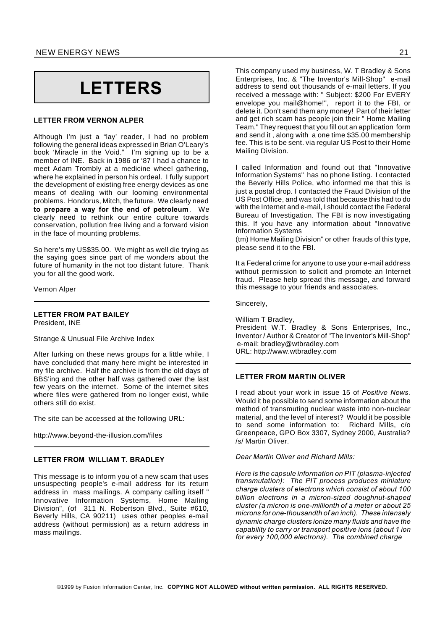# **LETTERS**

#### **LETTER FROM VERNON ALPER**

Although I'm just a "lay' reader, I had no problem following the general ideas expressed in Brian O'Leary's book 'Miracle in the Void." I'm signing up to be a member of INE. Back in 1986 or '87 I had a chance to meet Adam Trombly at a medicine wheel gathering, where he explained in person his ordeal. I fully support the development of existing free energy devices as one means of dealing with our looming environmental problems. Hondorus, Mitch, the future. We clearly need **to prepare a way for the end of petroleum**. We clearly need to rethink our entire culture towards conservation, pollution free living and a forward vision in the face of mounting problems.

So here's my US\$35.00. We might as well die trying as the saying goes since part of me wonders about the future of humanity in the not too distant future. Thank you for all the good work.

Vernon Alper

#### **LETTER FROM PAT BAILEY** President, INE

Strange & Unusual File Archive Index

After lurking on these news groups for a little while, I have concluded that many here might be interested in my file archive. Half the archive is from the old days of BBS'ing and the other half was gathered over the last few years on the internet. Some of the internet sites where files were gathered from no longer exist, while others still do exist.

The site can be accessed at the following URL:

http://www.beyond-the-illusion.com/files

#### **LETTER FROM WILLIAM T. BRADLEY**

This message is to inform you of a new scam that uses unsuspecting people's e-mail address for its return address in mass mailings. A company calling itself " Innovative Information Systems, Home Mailing Division", (of 311 N. Robertson Blvd., Suite #610, Beverly Hills, CA 90211) uses other peoples e-mail address (without permission) as a return address in mass mailings.

This company used my business, W. T Bradley & Sons Enterprises, Inc. & "The Inventor's Mill-Shop" e-mail address to send out thousands of e-mail letters. If you received a message with: " Subject: \$200 For EVERY envelope you mail@home!", report it to the FBI, or delete it. Don't send them any money! Part of their letter and get rich scam has people join their " Home Mailing Team." They request that you fill out an application form and send it , along with a one time \$35.00 membership fee. This is to be sent. via regular US Post to their Home Mailing Division.

I called Information and found out that "Innovative Information Systems" has no phone listing. I contacted the Beverly Hills Police, who informed me that this is just a postal drop. I contacted the Fraud Division of the US Post Office, and was told that because this had to do with the Internet and e-mail, I should contact the Federal Bureau of Investigation. The FBI is now investigating this. If you have any information about "Innovative Information Systems

(tm) Home Mailing Division" or other frauds of this type, please send it to the FBI.

It a Federal crime for anyone to use your e-mail address without permission to solicit and promote an Internet fraud. Please help spread this message, and forward this message to your friends and associates.

Sincerely,

William T Bradley, President W.T. Bradley & Sons Enterprises, Inc., Inventor / Author & Creator of "The Inventor's Mill-Shop" e-mail: bradley@wtbradley.com URL: http://www.wtbradley.com

#### **LETTER FROM MARTIN OLIVER**

I read about your work in issue 15 of *Positive News*. Would it be possible to send some information about the method of transmuting nuclear waste into non-nuclear material, and the level of interest? Would it be possible to send some information to: Richard Mills, c/o Greenpeace, GPO Box 3307, Sydney 2000, Australia? /s/ Martin Oliver.

*Dear Martin Oliver and Richard Mills:*

*Here is the capsule information on PIT (plasma-injected transmutation): The PIT process produces miniature charge clusters of electrons which consist of about 100 billion electrons in a micron-sized doughnut-shaped cluster (a micron is one-millionth of a meter or about 25 microns for one-thousandth of an inch). These intensely dynamic charge clusters ionize many fluids and have the capability to carry or transport positive ions (about 1 ion for every 100,000 electrons). The combined charge*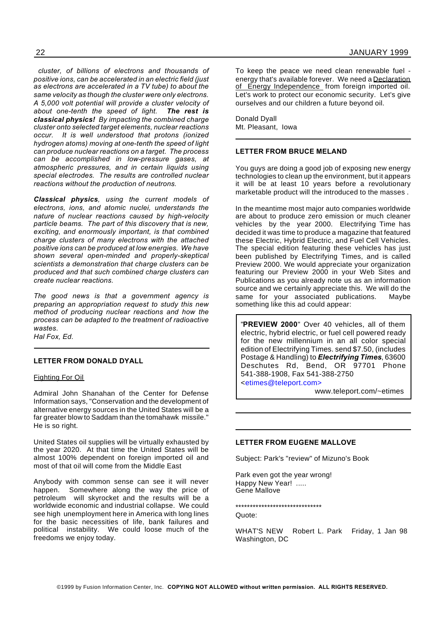*cluster, of billions of electrons and thousands of positive ions, can be accelerated in an electric field (just as electrons are accelerated in a TV tube) to about the same velocity as though the cluster were only electrons. A 5,000 volt potential will provide a cluster velocity of about one-tenth the speed of light. The rest is classical physics! By impacting the combined charge cluster onto selected target elements, nuclear reactions occur. It is well understood that protons (ionized hydrogen atoms) moving at one-tenth the speed of light can produce nuclear reactions on a target. The process can be accomplished in low-pressure gases, at atmospheric pressures, and in certain liquids using special electrodes. The results are controlled nuclear reactions without the production of neutrons.*

*Classical physics, using the current models of electrons, ions, and atomic nuclei, understands the nature of nuclear reactions caused by high-velocity particle beams. The part of this discovery that is new, exciting, and enormously important, is that combined charge clusters of many electrons with the attached positive ions can be produced at low energies. We have shown several open-minded and properly-skeptical scientists a demonstration that charge clusters can be produced and that such combined charge clusters can create nuclear reactions.*

*The good news is that a government agency is preparing an appropriation request to study this new method of producing nuclear reactions and how the process can be adapted to the treatment of radioactive wastes.*

*Hal Fox, Ed.*

#### **LETTER FROM DONALD DYALL**

#### Fighting For Oil

Admiral John Shanahan of the Center for Defense Information says, "Conservation and the development of alternative energy sources in the United States will be a far greater blow to Saddam than the tomahawk missile." He is so right.

United States oil supplies will be virtually exhausted by the year 2020. At that time the United States will be almost 100% dependent on foreign imported oil and most of that oil will come from the Middle East

Anybody with common sense can see it will never happen. Somewhere along the way the price of petroleum will skyrocket and the results will be a worldwide economic and industrial collapse. We could see high unemployment here in America with long lines for the basic necessities of life, bank failures and political instability. We could loose much of the freedoms we enjoy today.

To keep the peace we need clean renewable fuel energy that's available forever. We need a Declaration of Energy Independence from foreign imported oil. Let's work to protect our economic security. Let's give ourselves and our children a future beyond oil.

Donald Dyall Mt. Pleasant, Iowa

#### **LETTER FROM BRUCE MELAND**

You guys are doing a good job of exposing new energy technologies to clean up the environment, but it appears it will be at least 10 years before a revolutionary marketable product will the introduced to the masses .

In the meantime most major auto companies worldwide are about to produce zero emission or much cleaner vehicles by the year 2000. Electrifying Time has decided it was time to produce a magazine that featured these Electric, Hybrid Electric, and Fuel Cell Vehicles. The special edition featuring these vehicles has just been published by Electrifying Times, and is called Preview 2000. We would appreciate your organization featuring our Preview 2000 in your Web Sites and Publications as you already note us as an information source and we certainly appreciate this. We will do the same for your associated publications. Maybe something like this ad could appear:

"**PREVIEW 2000**" Over 40 vehicles, all of them electric, hybrid electric, or fuel cell powered ready for the new millennium in an all color special edition of Electrifying Times. send \$7.50, (includes Postage & Handling) to *Electrifying Times*, 63600 Deschutes Rd, Bend, OR 97701 Phone 541-388-1908, Fax 541-388-2750 <etimes@teleport.com>

www.teleport.com/~etimes

#### **LETTER FROM EUGENE MALLOVE**

Subject: Park's "review" of Mizuno's Book

Park even got the year wrong! Happy New Year! ..... Gene Mallove

#### \*\*\*\*\*\*\*\*\*\*\*\*\*\*\*\*\*\*\*\*\*\*\*\*\*\*\*\*\*\*

Quote:

WHAT'S NEW Robert L. Park Friday, 1 Jan 98 Washington, DC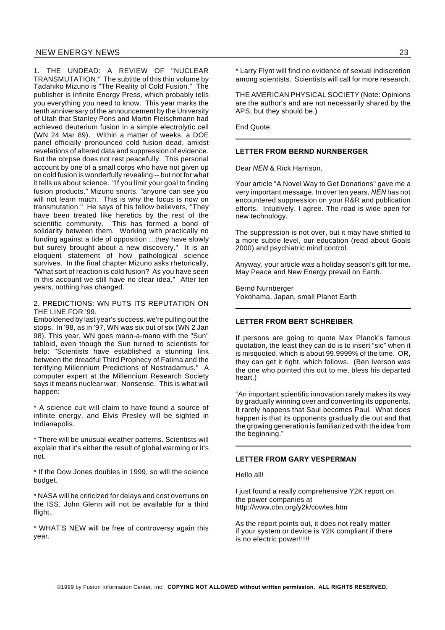1. THE UNDEAD: A REVIEW OF "NUCLEAR TRANSMUTATION." The subtitle of this thin volume by Tadahiko Mizuno is "The Reality of Cold Fusion." The publisher is Infinite Energy Press, which probably tells you everything you need to know. This year marks the tenth anniversary of the announcement by the University of Utah that Stanley Pons and Martin Fleischmann had achieved deuterium fusion in a simple electrolytic cell (WN 24 Mar 89). Within a matter of weeks, a DOE panel officially pronounced cold fusion dead, amidst revelations of altered data and suppression of evidence. But the corpse does not rest peacefully. This personal account by one of a small corps who have not given up on cold fusion is wonderfully revealing -- but not for what it tells us about science. "If you limit your goal to finding fusion products," Mizuno snorts, "anyone can see you will not learn much. This is why the focus is now on transmutation." He says of his fellow believers, "They have been treated like heretics by the rest of the scientific community. This has formed a bond of solidarity between them. Working with practically no funding against a tide of opposition ...they have slowly but surely brought about a new discovery." It is an eloquent statement of how pathological science survives. In the final chapter Mizuno asks rhetorically, "What sort of reaction is cold fusion? As you have seen in this account we still have no clear idea." After ten years, nothing has changed.

#### 2. PREDICTIONS: WN PUTS ITS REPUTATION ON THE LINE FOR '99.

Emboldened by last year's success, we're pulling out the stops. In '98, as in '97, WN was six out of six (WN 2 Jan 98). This year, WN goes mano-a-mano with the "Sun" tabloid, even though the Sun turned to scientists for help: "Scientists have established a stunning link between the dreadful Third Prophecy of Fatima and the terrifying Millennium Predictions of Nostradamus." A computer expert at the Millennium Research Society says it means nuclear war. Nonsense. This is what will happen:

\* A science cult will claim to have found a source of infinite energy, and Elvis Presley will be sighted in Indianapolis.

\* There will be unusual weather patterns. Scientists will explain that it's either the result of global warming or it's not.

\* If the Dow Jones doubles in 1999, so will the science budget.

\* NASA will be criticized for delays and cost overruns on the ISS. John Glenn will not be available for a third flight.

\* WHAT'S NEW will be free of controversy again this year.

\* Larry Flynt will find no evidence of sexual indiscretion among scientists. Scientists will call for more research.

THE AMERICAN PHYSICAL SOCIETY (Note: Opinions are the author's and are not necessarily shared by the APS, but they should be.)

End Quote.

#### **LETTER FROM BERND NURNBERGER**

Dear *NEN* & Rick Harrison,

Your article "A Novel Way to Get Donations" gave me a very important message. In over ten years, *NEN* has not encountered suppression on your R&R and publication efforts. Intuitively, I agree. The road is wide open for new technology.

The suppression is not over, but it may have shifted to a more subtle level, our education (read about Goals 2000) and psychiatric mind control.

Anyway, your article was a holiday season's gift for me. May Peace and New Energy prevail on Earth.

Bernd Nurnberger Yokohama, Japan, small Planet Earth

### **LETTER FROM BERT SCHREIBER**

If persons are going to quote Max Planck's famous quotation, the least they can do is to insert "sic" when it is misquoted, which is about 99.9999% of the time. OR, they can get it right, which follows. (Ben Iverson was the one who pointed this out to me, bless his departed heart.)

"An important scientific innovation rarely makes its way by gradually winning over and converting its opponents. It rarely happens that Saul becomes Paul. What does happen is that its opponents gradually die out and that the growing generation is familiarized with the idea from the beginning."

# **LETTER FROM GARY VESPERMAN**

Hello all!

I just found a really comprehensive Y2K report on the power companies at http://www.cbn.org/y2k/cowles.htm

As the report points out, it does not really matter if your system or device is Y2K compliant if there is no electric power!!!!!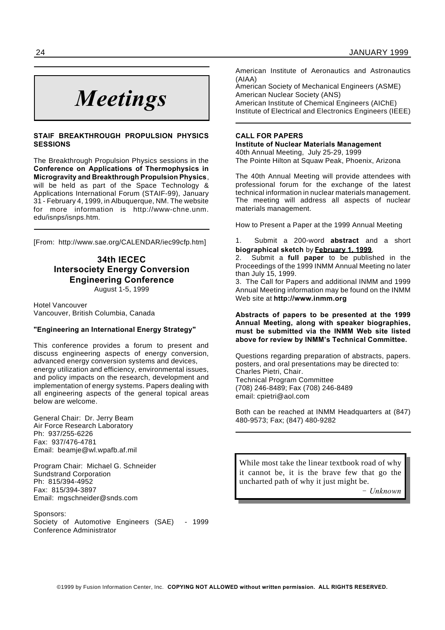# *Meetings*

### **STAIF BREAKTHROUGH PROPULSION PHYSICS SESSIONS**

The Breakthrough Propulsion Physics sessions in the **Conference on Applications of Thermophysics in Microgravity and Breakthrough Propulsion Physics**, will be held as part of the Space Technology & Applications International Forum (STAIF-99), January 31 - February 4, 1999, in Albuquerque, NM. The website for more information is http://www-chne.unm. edu/isnps/isnps.htm.

[From: http://www.sae.org/CALENDAR/iec99cfp.htm]

# **34th IECEC Intersociety Energy Conversion Engineering Conference**

August 1-5, 1999

Hotel Vancouver Vancouver, British Columbia, Canada

### **"Engineering an International Energy Strategy"**

This conference provides a forum to present and discuss engineering aspects of energy conversion, advanced energy conversion systems and devices, energy utilization and efficiency, environmental issues, and policy impacts on the research, development and implementation of energy systems. Papers dealing with all engineering aspects of the general topical areas below are welcome.

General Chair: Dr. Jerry Beam Air Force Research Laboratory Ph: 937/255-6226 Fax: 937/476-4781 Email: beamje@wl.wpafb.af.mil

Program Chair: Michael G. Schneider Sundstrand Corporation Ph: 815/394-4952 Fax: 815/394-3897 Email: mgschneider@snds.com

Sponsors: Society of Automotive Engineers (SAE) - 1999 Conference Administrator

American Institute of Aeronautics and Astronautics (AIAA)

American Society of Mechanical Engineers (ASME) American Nuclear Society (ANS) American Institute of Chemical Engineers (AIChE)

Institute of Electrical and Electronics Engineers (IEEE)

# **CALL FOR PAPERS**

**Institute of Nuclear Materials Management** 40th Annual Meeting, July 25-29, 1999 The Pointe Hilton at Squaw Peak, Phoenix, Arizona

The 40th Annual Meeting will provide attendees with professional forum for the exchange of the latest technical information in nuclear materials management. The meeting will address all aspects of nuclear materials management.

How to Present a Paper at the 1999 Annual Meeting

1. Submit a 200-word **abstract** and a short **biographical sketch** by **February 1, 1999**.

2. Submit a **full paper** to be published in the Proceedings of the 1999 INMM Annual Meeting no later than July 15, 1999.

3. The Call for Papers and additional INMM and 1999 Annual Meeting information may be found on the INMM Web site at **http://www.inmm.org**

**Abstracts of papers to be presented at the 1999 Annual Meeting, along with speaker biographies, must be submitted via the INMM Web site listed above for review by INMM's Technical Committee.**

Questions regarding preparation of abstracts, papers. posters, and oral presentations may be directed to: Charles Pietri, Chair. Technical Program Committee (708) 246-8489; Fax (708) 246-8489 email: cpietri@aol.com

Both can be reached at INMM Headquarters at (847) 480-9573; Fax; (847) 480-9282

While most take the linear textbook road of why it cannot be, it is the brave few that go the uncharted path of why it just might be.

*Unknown*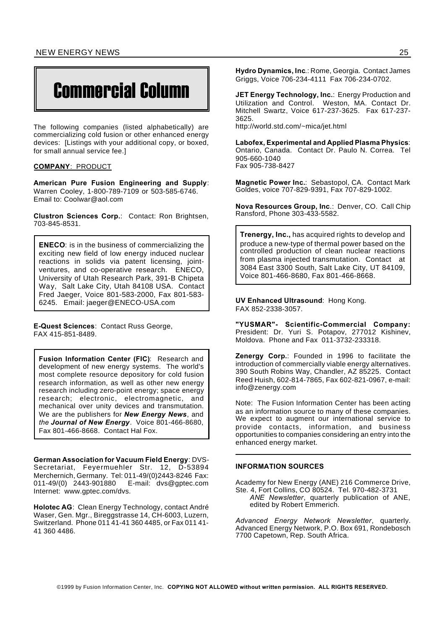# Commercial Column

The following companies (listed alphabetically) are commercializing cold fusion or other enhanced energy devices: [Listings with your additional copy, or boxed, for small annual service fee.]

#### **COMPANY**: PRODUCT

**American Pure Fusion Engineering and Supply**: Warren Cooley, 1-800-789-7109 or 503-585-6746. Email to: Coolwar@aol.com

**Clustron Sciences Corp.**: Contact: Ron Brightsen, 703-845-8531.

**ENECO**: is in the business of commercializing the exciting new field of low energy induced nuclear reactions in solids via patent licensing, jointventures, and co-operative research. ENECO, University of Utah Research Park, 391-B Chipeta Way, Salt Lake City, Utah 84108 USA. Contact Fred Jaeger, Voice 801-583-2000, Fax 801-583- 6245. Email: jaeger@ENECO-USA.com

**E-Quest Sciences**: Contact Russ George, FAX 415-851-8489.

**Fusion Information Center (FIC)**: Research and development of new energy systems. The world's most complete resource depository for cold fusion research information, as well as other new energy research including zero-point energy; space energy research; electronic, electromagnetic, and mechanical over unity devices and transmutation. We are the publishers for *New Energy News*, and *the Journal of New Energy.* Voice 801-466-8680, Fax 801-466-8668. Contact Hal Fox.

**German Association for Vacuum Field Energy**: DVS-Secretariat, Feyermuehler Str. 12, D-53894 Merchernich, Germany. Tel: 011-49/(0)2443-8246 Fax: 011-49/(0) 2443-901880 Internet: www.gptec.com/dvs.

**Holotec AG**: Clean Energy Technology, contact André Waser, Gen. Mgr., Bireggstrasse 14, CH-6003, Luzern, Switzerland. Phone 011 41-41 360 4485, or Fax 011 41- 41 360 4486.

**Hydro Dynamics, Inc**.: Rome, Georgia. Contact James Griggs, Voice 706-234-4111 Fax 706-234-0702.

**JET Energy Technology, Inc.**: Energy Production and Utilization and Control. Weston, MA. Contact Dr. Mitchell Swartz, Voice 617-237-3625. Fax 617-237- 3625.

http://world.std.com/~mica/jet.html

**Labofex, Experimental and Applied Plasma Physics**: Ontario, Canada. Contact Dr. Paulo N. Correa. Tel 905-660-1040 Fax 905-738-8427

**Magnetic Power Inc.**: Sebastopol, CA. Contact Mark Goldes, voice 707-829-9391, Fax 707-829-1002.

**Nova Resources Group, Inc**.: Denver, CO. Call Chip Ransford, Phone 303-433-5582.

**Trenergy, Inc.,** has acquired rights to develop and produce a new-type of thermal power based on the controlled production of clean nuclear reactions from plasma injected transmutation. Contact at 3084 East 3300 South, Salt Lake City, UT 84109, Voice 801-466-8680, Fax 801-466-8668.

**UV Enhanced Ultrasound**: Hong Kong. FAX 852-2338-3057.

**"YUSMAR"- Scientific-Commercial Company:** President: Dr. Yuri S. Potapov, 277012 Kishinev, Moldova. Phone and Fax 011-3732-233318.

**Zenergy Corp.**: Founded in 1996 to facilitate the introduction of commercially viable energy alternatives. 390 South Robins Way, Chandler, AZ 85225. Contact Reed Huish, 602-814-7865, Fax 602-821-0967, e-mail: info@zenergy.com

Note: The Fusion Information Center has been acting as an information source to many of these companies. We expect to augment our international service to provide contacts, information, and business opportunities to companies considering an entry into the enhanced energy market.

#### **INFORMATION SOURCES**

Academy for New Energy (ANE) 216 Commerce Drive, Ste. 4, Fort Collins, CO 80524. Tel. 970-482-3731 *ANE Newsletter*, quarterly publication of ANE, edited by Robert Emmerich.

*Advanced Energy Network Newsletter*, quarterly. Advanced Energy Network, P.O. Box 691, Rondebosch 7700 Capetown, Rep. South Africa.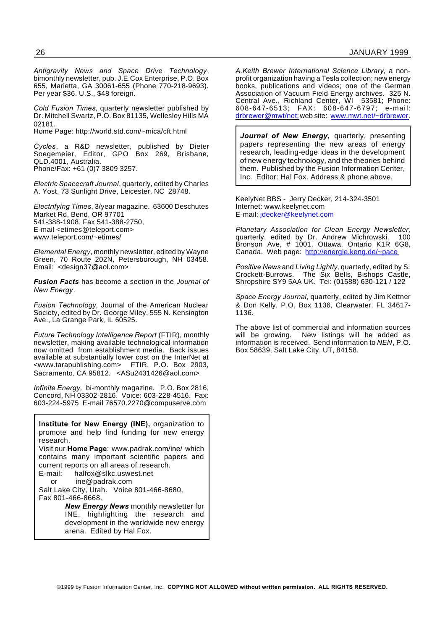*Antigravity News and Space Drive Technology*, bimonthly newsletter, pub. J.E.Cox Enterprise, P.O. Box 655, Marietta, GA 30061-655 (Phone 770-218-9693). Per year \$36. U.S., \$48 foreign.

*Cold Fusion Times,* quarterly newsletter published by Dr. Mitchell Swartz, P.O. Box 81135, Wellesley Hills MA 02181.

Home Page: http://world.std.com/~mica/cft.html

*Cycles*, a R&D newsletter, published by Dieter Soegemeier, Editor, GPO Box 269, Brisbane, QLD.4001, Australia. Phone/Fax: +61 (0)7 3809 3257.

*Electric Spacecraft Journal*, quarterly, edited by Charles A. Yost, 73 Sunlight Drive, Leicester, NC 28748.

*Electrifying Times*, 3/year magazine. 63600 Deschutes Market Rd, Bend, OR 97701 541-388-1908, Fax 541-388-2750, E-mail <etimes@teleport.com> www.teleport.com/~etimes/

*Elemental Energy*, monthly newsletter, edited by Wayne Green, 70 Route 202N, Petersborough, NH 03458. Email: <design37@aol.com>

*Fusion Facts* has become a section in the *Journal of New Energy*.

*Fusion Technology,* Journal of the American Nuclear Society, edited by Dr. George Miley, 555 N. Kensington Ave., La Grange Park, IL 60525.

*Future Technology Intelligence Report* (FTIR), monthly newsletter, making available technological information now omitted from establishment media. Back issues available at substantially lower cost on the InterNet at <www.tarapublishing.com> FTIR, P.O. Box 2903, Sacramento, CA 95812. <ASu2431426@aol.com>

*Infinite Energy,* bi-monthly magazine. P.O. Box 2816, Concord, NH 03302-2816. Voice: 603-228-4516. Fax: 603-224-5975 E-mail 76570.2270@compuserve.com

**Institute for New Energy (INE),** organization to promote and help find funding for new energy research. Visit our **Home Page**: www.padrak.com/ine/ which contains many important scientific papers and current reports on all areas of research.<br> $F$ -mail: halfox@slkc uswest net halfox@slkc.uswest.net or ine@padrak.com Salt Lake City, Utah. Voice 801-466-8680, Fax 801-466-8668.

*New Energy News* monthly newsletter for INE, highlighting the research and development in the worldwide new energy arena. Edited by Hal Fox.

*A.Keith Brewer International Science Library*, a nonprofit organization having a Tesla collection; new energy books, publications and videos; one of the German Association of Vacuum Field Energy archives. 325 N. Central Ave., Richland Center, WI 53581; Phone: 608-647-6513; FAX: 608-647-6797; e-mail: drbrewer@mwt/net;web site: www.mwt.net/~drbrewer.

*Journal of New Energy***,** quarterly, presenting papers representing the new areas of energy research, leading-edge ideas in the development of new energy technology, and the theories behind them. Published by the Fusion Information Center, Inc. Editor: Hal Fox. Address & phone above.

KeelyNet BBS - Jerry Decker, 214-324-3501 Internet: www.keelynet.com E-mail: jdecker@keelynet.com

*Planetary Association for Clean Energy Newsletter*, quarterly, edited by Dr. Andrew Michrowski. 100 Bronson Ave, # 1001, Ottawa, Ontario K1R 6G8, Canada. Web page: http://energie.keng.de/~pace

*Positive News* and *Living Lightly*, quarterly, edited by S. The Six Bells, Bishops Castle, Shropshire SY9 5AA UK. Tel: (01588) 630-121 / 122

*Space Energy Journal*, quarterly, edited by Jim Kettner & Don Kelly, P.O. Box 1136, Clearwater, FL 34617- 1136.

The above list of commercial and information sources will be growing. New listings will be added as information is received. Send information to *NEN*, P.O. Box 58639, Salt Lake City, UT, 84158.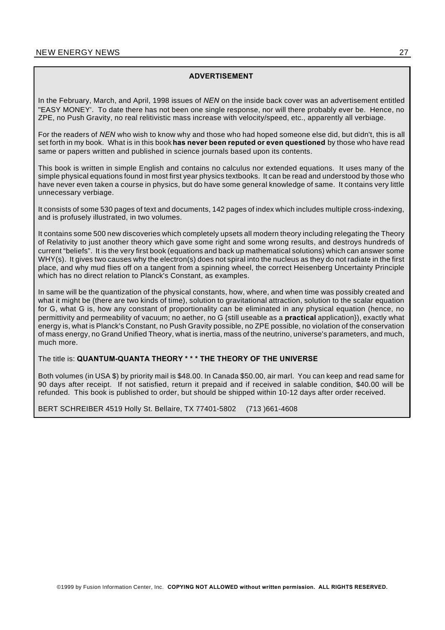# **ADVERTISEMENT**

In the February, March, and April, 1998 issues of *NEN* on the inside back cover was an advertisement entitled "EASY MONEY'. To date there has not been one single response, nor will there probably ever be. Hence, no ZPE, no Push Gravity, no real relitivistic mass increase with velocity/speed, etc., apparently all verbiage.

For the readers of *NEN* who wish to know why and those who had hoped someone else did, but didn't, this is all set forth in my book. What is in this book**has never been reputed or even questioned** by those who have read same or papers written and published in science journals based upon its contents.

This book is written in simple English and contains no calculus nor extended equations. It uses many of the simple physical equations found in most first year physics textbooks. It can be read and understood by those who have never even taken a course in physics, but do have some general knowledge of same. It contains very little unnecessary verbiage.

It consists of some 530 pages of text and documents, 142 pages of index which includes multiple cross-indexing, and is profusely illustrated, in two volumes.

It contains some 500 new discoveries which completely upsets all modern theory including relegating the Theory of Relativity to just another theory which gave some right and some wrong results, and destroys hundreds of current "beliefs". It is the very first book (equations and back up mathematical solutions) which can answer some WHY(s). It gives two causes why the electron(s) does not spiral into the nucleus as they do not radiate in the first place, and why mud flies off on a tangent from a spinning wheel, the correct Heisenberg Uncertainty Principle which has no direct relation to Planck's Constant, as examples.

In same will be the quantization of the physical constants, how, where, and when time was possibly created and what it might be (there are two kinds of time), solution to gravitational attraction, solution to the scalar equation for G, what G is, how any constant of proportionality can be eliminated in any physical equation (hence, no permittivity and permeability of vacuum; no aether, no G {still useable as a **practical** application}), exactly what energy is, what is Planck's Constant, no Push Gravity possible, no ZPE possible, no violation of the conservation of mass energy, no Grand Unified Theory, what is inertia, mass of the neutrino, universe's parameters, and much, much more.

# The title is: **QUANTUM-QUANTA THEORY \* \* \* THE THEORY OF THE UNIVERSE**

Both volumes (in USA \$) by priority mail is \$48.00. In Canada \$50.00, air marl. You can keep and read same for 90 days after receipt. If not satisfied, return it prepaid and if received in salable condition, \$40.00 will be refunded. This book is published to order, but should be shipped within 10-12 days after order received.

BERT SCHREIBER 4519 Holly St. Bellaire, TX 77401-5802 (713 )661-4608